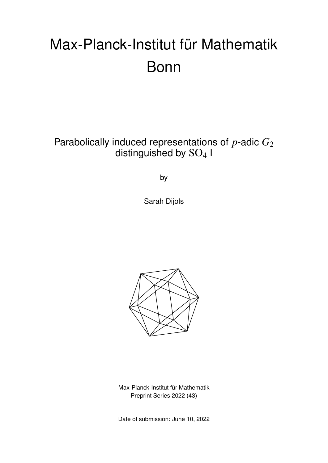# Max-Planck-Institut für Mathematik Bonn

Parabolically induced representations of *p*-adic *G*<sup>2</sup> distinguished by  $SO<sub>4</sub>$  I

by

Sarah Dijols



Max-Planck-Institut für Mathematik Preprint Series 2022 (43)

Date of submission: June 10, 2022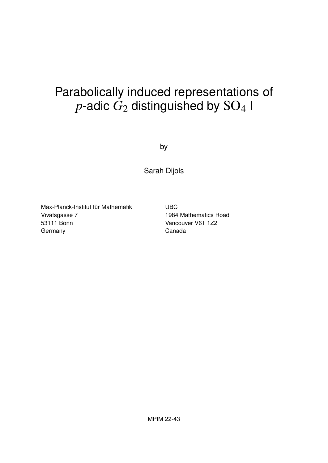## Parabolically induced representations of  $p$ -adic  $G_2$  distinguished by  $SO_4$  I

by

Sarah Dijols

Max-Planck-Institut für Mathematik Vivatsgasse 7 53111 Bonn **Germany** 

UBC 1984 Mathematics Road Vancouver V6T 1Z2 Canada

MPIM 22-43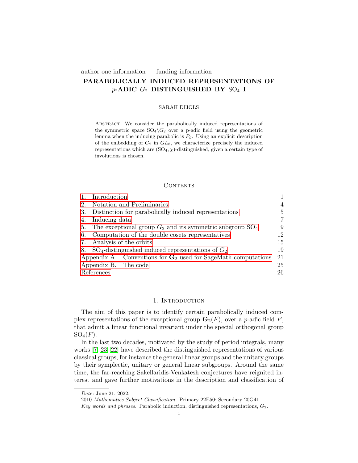### author one information funding information PARABOLICALLY INDUCED REPRESENTATIONS OF  $p$ -ADIC  $G_2$  DISTINGUISHED BY  $SO_4$  I

### SARAH DIJOLS

Abstract. We consider the parabolically induced representations of the symmetric space  $SO_4\backslash G_2$  over a p-adic field using the geometric lemma when the inducing parabolic is  $P_\beta$ . Using an explicit description of the embedding of  $G_2$  in  $GL_8$ , we characterize precisely the induced representations which are  $(SO_4, \chi)$ -distinguished, given a certain type of involutions is chosen.

### **CONTENTS**

|                                                              | Introduction                                                       |    |  |  |  |  |  |
|--------------------------------------------------------------|--------------------------------------------------------------------|----|--|--|--|--|--|
| 2.                                                           | Notation and Preliminaries                                         | 4  |  |  |  |  |  |
| 3.                                                           | Distinction for parabolically induced representations              | 5  |  |  |  |  |  |
| 4.                                                           | Inducing data                                                      | 7  |  |  |  |  |  |
| 5.                                                           | The exceptional group $G_2$ and its symmetric subgroup $SO_4$<br>9 |    |  |  |  |  |  |
| Computation of the double cosets representatives<br>12<br>6. |                                                                    |    |  |  |  |  |  |
| 7.                                                           | Analysis of the orbits                                             |    |  |  |  |  |  |
| 8.                                                           | $SO_4$ -distinguished induced representations of $G_2$             | 19 |  |  |  |  |  |
|                                                              | Appendix A. Conventions for $G_2$ used for SageMath computations   | 21 |  |  |  |  |  |
|                                                              | Appendix B. The code                                               | 25 |  |  |  |  |  |
| References<br>26                                             |                                                                    |    |  |  |  |  |  |

### 1. INTRODUCTION

<span id="page-2-0"></span>The aim of this paper is to identify certain parabolically induced complex representations of the exceptional group  $\mathbf{G}_2(F)$ , over a p-adic field F, that admit a linear functional invariant under the special orthogonal group  $SO_4(F)$ .

In the last two decades, motivated by the study of period integrals, many works [\[7,](#page-28-0) [23,](#page-28-1) [22\]](#page-28-2) have described the distinguished representations of various classical groups, for instance the general linear groups and the unitary groups by their symplectic, unitary or general linear subgroups. Around the same time, the far-reaching Sakellaridis-Venkatesh conjectures have reignited interest and gave further motivations in the description and classification of

Date: June 21, 2022.

<sup>2010</sup> Mathematics Subject Classification. Primary 22E50; Secondary 20G41.

Key words and phrases. Parabolic induction, distinguished representations,  $G_2$ .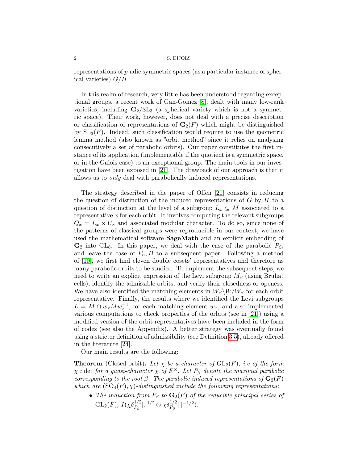representations of p-adic symmetric spaces (as a particular instance of spherical varieties)  $G/H$ .

In this realm of research, very little has been understood regarding exceptional groups, a recent work of Gan-Gomez [\[8\]](#page-28-3), dealt with many low-rank varieties, including  $G_2 / SL_3$  (a spherical variety which is not a symmetric space). Their work, however, does not deal with a precise description or classification of representations of  $\mathbf{G}_2(F)$  which might be distinguished by  $SL_3(F)$ . Indeed, such classification would require to use the geometric lemma method (also known as "orbit method" since it relies on analysing consecutively a set of parabolic orbits). Our paper constitutes the first instance of its application (implementable if the quotient is a symmetric space, or in the Galois case) to an exceptional group. The main tools in our investigation have been exposed in [\[21\]](#page-28-4). The drawback of our approach is that it allows us to only deal with parabolically induced representations.

The strategy described in the paper of Offen [\[21\]](#page-28-4) consists in reducing the question of distinction of the induced representations of  $G$  by  $H$  to a question of distinction at the level of a subgroup  $L_x \subseteq M$  associated to a representative  $x$  for each orbit. It involves computing the relevant subgroups  $Q_x = L_x \rtimes U_x$  and associated modular character. To do so, since none of the patterns of classical groups were reproducible in our context, we have used the mathematical software SageMath and an explicit embedding of  $\mathbf{G}_2$  into GL<sub>8</sub>. In this paper, we deal with the case of the parabolic  $P_\beta$ , and leave the case of  $P_{\alpha}, B$  to a subsequent paper. Following a method of [\[10\]](#page-28-5), we first find eleven double cosets' representatives and therefore as many parabolic orbits to be studied. To implement the subsequent steps, we need to write an explicit expression of the Levi subgroup  $M_\beta$  (using Bruhat cells), identify the admissible orbits, and verify their closedness or openess. We have also identified the matching elements in  $W_\beta \backslash W/W_\beta$  for each orbit representative. Finally, the results where we identified the Levi subgroups  $L = M \cap w_x M w_x^{-1}$ , for each matching element  $w_x$ , and also implemented various computations to check properties of the orbits (see in [\[21\]](#page-28-4)) using a modified version of the orbit representatives have been included in the form of codes (see also the Appendix). A better strategy was eventually found using a stricter definition of admissibility (see Definition [3.5\)](#page-8-1), already offered in the literature [\[24\]](#page-29-0).

Our main results are the following:

**Theorem** (Closed orbit). Let  $\chi$  be a character of  $GL_2(F)$ , i.e of the form  $\chi \circ \det$  for a quasi-character  $\chi$  of  $F^{\times}$ . Let  $P_{\beta}$  denote the maximal parabolic corresponding to the root  $\beta$ . The parabolic induced representations of  $\mathbf{G}_2(F)$ which are  $(SO_4(F), \chi)$ -distinguished include the following representations:

• The induction from  $P_\beta$  to  $\mathbf{G}_2(F)$  of the reducible principal series of  $\mathrm{GL}_2(F),\ I(\chi\delta_{P_\beta}^{1/2} |.|^{1/2} \otimes \chi\delta_{P_\beta}^{1/2} |.|^{-1/2}).$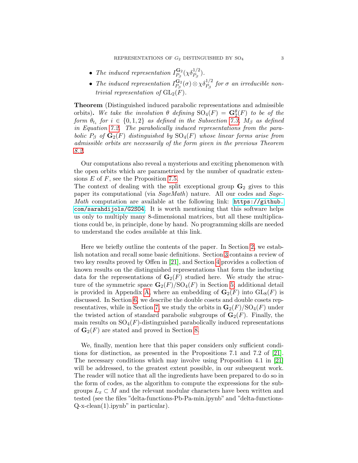- The induced representation  $I_{P_2}^{\mathbf{G}_2}$  $\frac{\mathbf{G}_2}{P_\beta}(\chi\delta_{P_\beta}^{1/2}).$
- The induced representation  $I_{P_c}^{\mathbf{G}_2}$  $\mathbf{G}_{P_\beta}^{(2)}(\sigma) \otimes \chi \delta_{P_\beta}^{1/2} \; for \; \sigma \; \emph{an irreducible non--}$ trivial representation of  $GL_2(F)$ .

Theorem (Distinguished induced parabolic representations and admissible orbits). We take the involution  $\theta$  defining  $SO_4(F) = \mathbf{G}_2^{\theta}(F)$  to be of the  $\emph{form $\theta_{t_i}$ for $i\in\{0,1,2\}$ as defined in the Subsection 7.3, $M_\beta$ as defined}$  $\emph{form $\theta_{t_i}$ for $i\in\{0,1,2\}$ as defined in the Subsection 7.3, $M_\beta$ as defined}$  $\emph{form $\theta_{t_i}$ for $i\in\{0,1,2\}$ as defined in the Subsection 7.3, $M_\beta$ as defined}$ in Equation [7.2.](#page-18-0) The parabolically induced representations from the parabolic  $P_\beta$  of  $\mathbf{G}_2(F)$  distinguished by  $SO_4(F)$  whose linear forms arise from admissible orbits are necessarily of the form given in the previous Theorem [8.2.](#page-21-0)

Our computations also reveal a mysterious and exciting phenomenon with the open orbits which are parametrized by the number of quadratic extensions  $E$  of  $F$ , see the Proposition [7.5.](#page-20-1)

The context of dealing with the split exceptional group  $\mathbf{G}_2$  gives to this paper its computational (via SageMath) nature. All our codes and Sage-Math computation are available at the following link: [https://github.](https://github.com/sarahdijols/G2SO4) [com/sarahdijols/G2SO4](https://github.com/sarahdijols/G2SO4). It is worth mentioning that this software helps us only to multiply many 8-dimensional matrices, but all these multiplications could be, in principle, done by hand. No programming skills are needed to understand the codes available at this link.

Here we briefly outline the contents of the paper. In Section [2,](#page-5-0) we establish notation and recall some basic definitions. Section [3](#page-6-0) contains a review of two key results proved by Offen in [\[21\]](#page-28-4), and Section [4](#page-8-0) provides a collection of known results on the distinguished representations that form the inducting data for the representations of  $\mathbf{G}_2(F)$  studied here. We study the structure of the symmetric space  $\mathbf{G}_2(F)/\mathrm{SO}_4(F)$  in Section [5;](#page-10-0) additional detail is provided in Appendix [A,](#page-22-0) where an embedding of  $\mathbf{G}_2(F)$  into  $\mathrm{GL}_8(F)$  is discussed. In Section [6,](#page-13-0) we describe the double cosets and double cosets rep-resentatives, while in Section [7,](#page-16-0) we study the orbits in  $\mathbf{G}_{2}(F)/\mathrm{SO}_{4}(F)$  under the twisted action of standard parabolic subgroups of  $\mathbf{G}_2(F)$ . Finally, the main results on  $SO_4(F)$ -distinguished parabolically induced representations of  $\mathbf{G}_2(F)$  are stated and proved in Section [8.](#page-20-0)

We, finally, mention here that this paper considers only sufficient conditions for distinction, as presented in the Propositions 7.1 and 7.2 of [\[21\]](#page-28-4). The necessary conditions which may involve using Proposition 4.1 in [\[21\]](#page-28-4) will be addressed, to the greatest extent possible, in our subsequent work. The reader will notice that all the ingredients have been prepared to do so in the form of codes, as the algorithm to compute the expressions for the subgroups  $L_x \subset M$  and the relevant modular characters have been written and tested (see the files "delta-functions-Pb-Pa-min.ipynb" and "delta-functions-Q-x-clean(1).ipynb" in particular).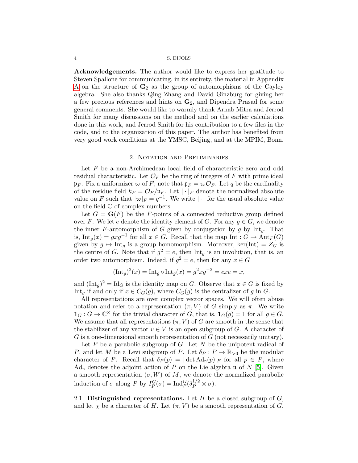Acknowledgements. The author would like to express her gratitude to Steven Spallone for communicating, in its entirety, the material in Appendix [A](#page-22-0) on the structure of  $G_2$  as the group of automorphisms of the Cayley algebra. She also thanks Qing Zhang and David Ginzburg for giving her a few precious references and hints on  $\mathbf{G}_2$ , and Dipendra Prasad for some general comments. She would like to warmly thank Arnab Mitra and Jerrod Smith for many discussions on the method and on the earlier calculations done in this work, and Jerrod Smith for his contribution to a few files in the code, and to the organization of this paper. The author has benefited from very good work conditions at the YMSC, Beijing, and at the MPIM, Bonn.

### 2. Notation and Preliminaries

<span id="page-5-0"></span>Let F be a non-Archimedean local field of characteristic zero and odd residual characteristic. Let  $\mathcal{O}_F$  be the ring of integers of F with prime ideal  $\mathfrak{p}_F$ . Fix a uniformizer  $\varpi$  of F; note that  $\mathfrak{p}_F = \varpi \mathcal{O}_F$ . Let q be the cardinality of the residue field  $k_F = \mathcal{O}_F/\mathfrak{p}_F$ . Let  $|\cdot|_F$  denote the normalized absolute value on F such that  $|\varpi|_F = q^{-1}$ . We write  $|\cdot|$  for the usual absolute value on the field  $\mathbb C$  of complex numbers.

Let  $G = \mathbf{G}(F)$  be the F-points of a connected reductive group defined over F. We let e denote the identity element of G. For any  $g \in G$ , we denote the inner F-automorphism of G given by conjugation by  $q$  by  $Int_q$ . That is,  $\text{Int}_g(x) = gxg^{-1}$  for all  $x \in G$ . Recall that the map  $\text{Int} : G \to \text{Aut}_F(G)$ given by  $g \mapsto \text{Int}_g$  is a group homomorphism. Moreover, ker(Int) =  $Z_G$  is the centre of G. Note that if  $g^2 = e$ , then Int<sub>g</sub> is an involution, that is, an order two automorphism. Indeed, if  $g^2 = e$ , then for any  $x \in G$ 

$$
(\text{Int}_g)^2(x) = \text{Int}_g \circ \text{Int}_g(x) = g^2 x g^{-2} = e x e = x,
$$

and  $(\text{Int}_g)^2 = \text{Id}_G$  is the identity map on G. Observe that  $x \in G$  is fixed by Int<sub>g</sub> if and only if  $x \in C_G(g)$ , where  $C_G(g)$  is the centralizer of g in G.

All representations are over complex vector spaces. We will often abuse notation and refer to a representation  $(\pi, V)$  of G simply as  $\pi$ . We write  $\mathbf{1}_G: G \to \mathbb{C}^\times$  for the trivial character of G, that is,  $\mathbf{1}_G(g) = 1$  for all  $g \in G$ . We assume that all representations  $(\pi, V)$  of G are smooth in the sense that the stabilizer of any vector  $v \in V$  is an open subgroup of G. A character of  $G$  is a one-dimensional smooth representation of  $G$  (not necessarily unitary).

Let  $P$  be a parabolic subgroup of  $G$ . Let  $N$  be the unipotent radical of P, and let M be a Levi subgroup of P. Let  $\delta_P : P \to \mathbb{R}_{>0}$  be the modular character of P. Recall that  $\delta_P(p) = |\det \text{Ad}_{\mathfrak{n}}(p)|_F$  for all  $p \in P$ , where  $\text{Ad}_{n}$  denotes the adjoint action of P on the Lie algebra n of N [\[5\]](#page-28-6). Given a smooth representation  $(\sigma, W)$  of M, we denote the normalized parabolic induction of  $\sigma$  along P by  $I_P^G(\sigma) = \text{Ind}_P^G(\delta_P^{1/2} \otimes \sigma)$ .

2.1. Distinguished representations. Let  $H$  be a closed subgroup of  $G$ , and let  $\chi$  be a character of H. Let  $(\pi, V)$  be a smooth representation of G.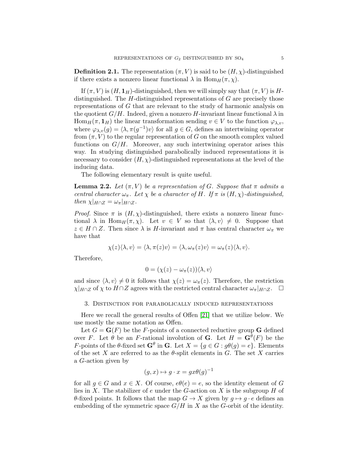**Definition 2.1.** The representation  $(\pi, V)$  is said to be  $(H, \chi)$ -distinguished if there exists a nonzero linear functional  $\lambda$  in  $\text{Hom}_H(\pi, \chi)$ .

If  $(\pi, V)$  is  $(H, \mathbf{1}_H)$ -distinguished, then we will simply say that  $(\pi, V)$  is Hdistinguished. The H-distinguished representations of G are precisely those representations of G that are relevant to the study of harmonic analysis on the quotient  $G/H$ . Indeed, given a nonzero H-invariant linear functional  $\lambda$  in  $\text{Hom}_H(\pi, \mathbf{1}_H)$  the linear transformation sending  $v \in V$  to the function  $\varphi_{\lambda,v}$ , where  $\varphi_{\lambda,v}(g) = \langle \lambda, \pi(g^{-1})v \rangle$  for all  $g \in G$ , defines an intertwining operator from  $(\pi, V)$  to the regular representation of G on the smooth complex valued functions on  $G/H$ . Moreover, any such intertwining operator arises this way. In studying distinguished parabolically induced representations it is necessary to consider  $(H, \chi)$ -distinguished representations at the level of the inducing data.

The following elementary result is quite useful.

<span id="page-6-1"></span>**Lemma 2.2.** Let  $(\pi, V)$  be a representation of G. Suppose that  $\pi$  admits a central character  $\omega_{\pi}$ . Let  $\chi$  be a character of H. If  $\pi$  is  $(H, \chi)$ -distinguished, then  $\chi|_{H \cap Z} = \omega_{\pi}|_{H \cap Z}$ .

*Proof.* Since  $\pi$  is  $(H, \chi)$ -distinguished, there exists a nonzero linear functional  $\lambda$  in  $\text{Hom}_H(\pi, \chi)$ . Let  $v \in V$  so that  $\langle \lambda, v \rangle \neq 0$ . Suppose that  $z \in H \cap Z$ . Then since  $\lambda$  is H-invariant and  $\pi$  has central character  $\omega_{\pi}$  we have that

$$
\chi(z)\langle\lambda,v\rangle=\langle\lambda,\pi(z)v\rangle=\langle\lambda,\omega_\pi(z)v\rangle=\omega_\pi(z)\langle\lambda,v\rangle.
$$

Therefore,

$$
0 = (\chi(z) - \omega_{\pi}(z))\langle \lambda, v \rangle
$$

and since  $\langle \lambda, v \rangle \neq 0$  it follows that  $\chi(z) = \omega_{\pi}(z)$ . Therefore, the restriction  $\chi|_{H \cap Z}$  of  $\chi$  to  $H \cap Z$  agrees with the restricted central character  $\omega_{\pi}|_{H \cap Z}$ .  $\Box$ 

### <span id="page-6-0"></span>3. Distinction for parabolically induced representations

Here we recall the general results of Offen [\[21\]](#page-28-4) that we utilize below. We use mostly the same notation as Offen.

Let  $G = \mathbf{G}(F)$  be the F-points of a connected reductive group G defined over F. Let  $\theta$  be an F-rational involution of **G**. Let  $H = \mathbf{G}^{\theta}(F)$  be the F-points of the  $\theta$ -fixed set  $\mathbf{G}^{\theta}$  in  $\mathbf{G}$ . Let  $X = \{g \in G : g\theta(g) = e\}$ . Elements of the set X are referred to as the  $\theta$ -split elements in G. The set X carries a G-action given by

$$
(g, x) \mapsto g \cdot x = gx\theta(g)^{-1}
$$

for all  $q \in G$  and  $x \in X$ . Of course,  $e\theta(e) = e$ , so the identity element of G lies in X. The stabilizer of e under the G-action on X is the subgroup  $H$  of  $\theta$ -fixed points. It follows that the map  $G \to X$  given by  $g \mapsto g \cdot e$  defines an embedding of the symmetric space  $G/H$  in X as the G-orbit of the identity.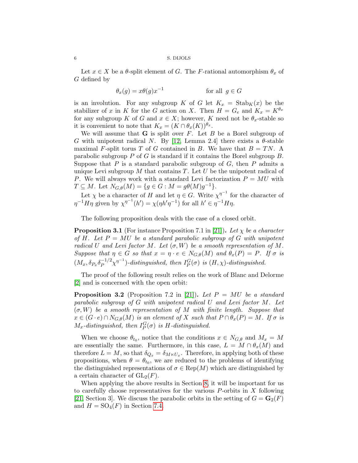Let  $x \in X$  be a  $\theta$ -split element of G. The F-rational automorphism  $\theta_x$  of G defined by

$$
\theta_x(g) = x\theta(g)x^{-1} \qquad \text{for all } g \in G
$$

is an involution. For any subgroup K of G let  $K_x = \text{Stab}_K(x)$  be the stabilizer of x in K for the G action on X. Then  $H = G_e$  and  $K_x = K^{\theta_x}$ for any subgroup K of G and  $x \in X$ ; however, K need not be  $\theta_x$ -stable so it is convenient to note that  $K_x = (K \cap \theta_x(K))^{\theta_x}$ .

We will assume that  $G$  is split over  $F$ . Let  $B$  be a Borel subgroup of G with unipotent radical N. By [\[12,](#page-28-7) Lemma 2.4] there exists a  $\theta$ -stable maximal F-split torus T of G contained in B. We have that  $B = TN$ . A parabolic subgroup  $P$  of  $G$  is standard if it contains the Borel subgroup  $B$ . Suppose that  $P$  is a standard parabolic subgroup of  $G$ , then  $P$  admits a unique Levi subgroup  $M$  that contains  $T$ . Let  $U$  be the unipotent radical of P. We will always work with a standard Levi factorization  $P = MU$  with  $T \subseteq M$ . Let  $N_{G,\theta}(M) = \{ g \in G : M = g\theta(M)g^{-1} \}.$ 

Let  $\chi$  be a character of H and let  $\eta \in G$ . Write  $\chi^{\eta^{-1}}$  for the character of  $\eta^{-1}H\eta$  given by  $\chi^{\eta^{-1}}(h') = \chi(\eta h'\eta^{-1})$  for all  $h' \in \eta^{-1}H\eta$ .

The following proposition deals with the case of a closed orbit.

<span id="page-7-0"></span>**Proposition 3.1** (For instance Proposition 7.1 in [\[21\]](#page-28-4)). Let  $\chi$  be a character of H. Let  $P = MU$  be a standard parabolic subgroup of G with unipotent radical U and Levi factor M. Let  $(\sigma, W)$  be a smooth representation of M. Suppose that  $\eta \in G$  so that  $x = \eta \cdot e \in N_{G,\theta}(M)$  and  $\theta_x(P) = P$ . If  $\sigma$  is  $(M_x, \delta_{P_x} \delta_P^{-1/2})$  $\int_{P}^{-1/2} \chi^{\eta^{-1}}$ )-distinguished, then  $I_P^G(\sigma)$  is  $(H, \chi)$ -distinguished.

The proof of the following result relies on the work of Blanc and Delorme [\[2\]](#page-28-8) and is concerned with the open orbit:

<span id="page-7-1"></span>**Proposition 3.2** (Proposition 7.2 in [\[21\]](#page-28-4)). Let  $P = MU$  be a standard parabolic subgroup of G with unipotent radical U and Levi factor M. Let  $(\sigma, W)$  be a smooth representation of M with finite length. Suppose that  $x \in (G \cdot e) \cap N_{G,\theta}(M)$  is an element of X such that  $P \cap \theta_x(P) = M$ . If  $\sigma$  is  $M_x$ -distinguished, then  $I_P^G(\sigma)$  is H-distinguished.

When we choose  $\theta_{t_0}$ , notice that the conditions  $x \in N_{G,\theta}$  and  $M_x = M$ are essentially the same. Furthermore, in this case,  $L = M \cap \theta_x(M)$  and therefore  $L = M$ , so that  $\delta_{Q_x} = \delta_{M \times U_x}$ . Therefore, in applying both of these propositions, when  $\theta = \theta_{t_0}$ , we are reduced to the problems of identifying the distinguished representations of  $\sigma \in \text{Rep}(M)$  which are distinguished by a certain character of  $GL_2(F)$ .

When applying the above results in Section [8,](#page-20-0) it will be important for us to carefully choose representatives for the various P-orbits in X following [\[21,](#page-28-4) Section 3]. We discuss the parabolic orbits in the setting of  $G = \mathbf{G}_2(F)$ and  $H = SO_4(F)$  in Section [7.4.](#page-18-1)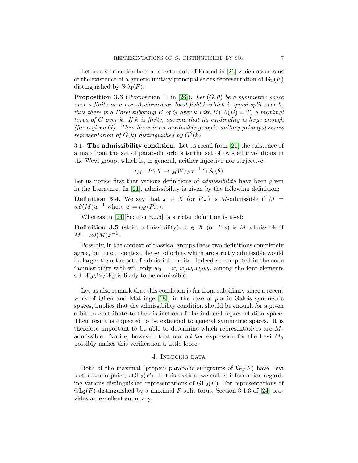Let us also mention here a recent result of Prasad in [\[26\]](#page-29-1) which assures us of the existence of a generic unitary principal series representation of  $\mathbf{G}_2(F)$ distinguished by  $SO_4(F)$ .

**Proposition 3.3** (Proposition 11 in [\[26\]](#page-29-1)). Let  $(G, \theta)$  be a symmetric space over a finite or a non-Archimedean local field k which is quasi-split over k, thus there is a Borel subgroup B of G over k with  $B \cap \theta(B) = T$ , a maximal torus of G over k. If k is finite, assume that its cardinality is large enough (for a given  $G$ ). Then there is an irreducible generic unitary principal series representation of  $G(k)$  distinguished by  $G^{\theta}(k)$ .

<span id="page-8-2"></span>3.1. The admissibility condition. Let us recall from [\[21\]](#page-28-4) the existence of a map from the set of parabolic orbits to the set of twisted involutions in the Weyl group, which is, in general, neither injective nor surjective:

$$
\iota_M: P\backslash X\to {_MW_{M'}\tau^{-1}}\cap \mathcal{S}_0(\theta)
$$

Let us notice first that various definitions of *admissibility* have been given in the literature. In [\[21\]](#page-28-4), admissibility is given by the following definition:

**Definition 3.4.** We say that  $x \in X$  (or P.x) is M-admissible if  $M =$  $w\theta(M)w^{-1}$  where  $w = \iota_M(P.x)$ .

Whereas in [\[24\]](#page-29-0)[Section 3.2.6], a stricter definition is used:

<span id="page-8-1"></span>**Definition 3.5** (strict admissibility).  $x \in X$  (or P.x) is M-admissible if  $M = x\theta(M)x^{-1}.$ 

Possibly, in the context of classical groups these two definitions completely agree, but in our context the set of orbits which are strictly admissible would be larger than the set of admissible orbits. Indeed as computed in the code "admissibility-with-w", only  $w_0 = w_\alpha w_\beta w_\alpha w_\beta w_\alpha$  among the four-elements set  $W_\beta \backslash W/W_\beta$  is likely to be admissible.

Let us also remark that this condition is far from subsidiary since a recent work of Offen and Matringe [\[18\]](#page-28-9), in the case of p-adic Galois symmetric spaces, implies that the admissibility condition should be enough for a given orbit to contribute to the distinction of the induced representation space. Their result is expected to be extended to general symmetric spaces. It is therefore important to be able to determine which representatives are Madmissible. Notice, however, that our *ad hoc* expression for the Levi  $M_\beta$ possibly makes this verification a little loose.

### 4. Inducing data

<span id="page-8-0"></span>Both of the maximal (proper) parabolic subgroups of  $\mathbf{G}_2(F)$  have Levi factor isomorphic to  $GL_2(F)$ . In this section, we collect information regarding various distinguished representations of  $GL_2(F)$ . For representations of  $GL_2(F)$ -distinguished by a maximal F-split torus, Section 3.1.3 of [\[24\]](#page-29-0) provides an excellent summary.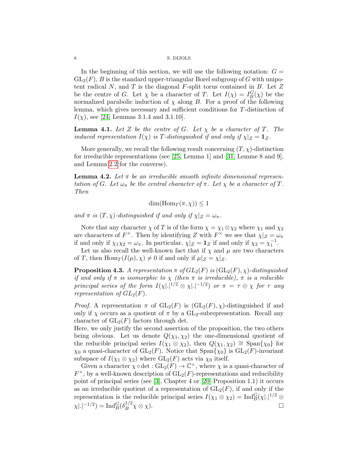In the beginning of this section, we will use the following notation:  $G =$  $GL_2(F)$ , B is the standard upper-triangular Borel subgroup of G with unipotent radical  $N$ , and  $T$  is the diagonal  $F$ -split torus contained in  $B$ . Let  $Z$ be the centre of G. Let  $\chi$  be a character of T. Let  $I(\chi) = I_B^G(\chi)$  be the normalized parabolic induction of  $\chi$  along B. For a proof of the following lemma, which gives necessary and sufficient conditions for T-distinction of  $I(\chi)$ , see [\[24,](#page-29-0) Lemmas 3.1.4 and 3.1.10].

**Lemma 4.1.** Let Z be the centre of G. Let  $\chi$  be a character of T. The induced representation  $I(\chi)$  is T-distinguished if and only if  $\chi|_Z = \mathbf{1}_Z$ .

More generally, we recall the following result concerning  $(T, \chi)$ -distinction for irreducible representations (see [\[25,](#page-29-2) Lemma 1] and [\[31,](#page-29-3) Lemme 8 and 9], and Lemma [2.2](#page-6-1) for the converse).

**Lemma 4.2.** Let  $\pi$  be an irreducible smooth infinite dimensional representation of G. Let  $\omega_{\pi}$  be the central character of  $\pi$ . Let  $\chi$  be a character of T. Then

 $\dim(\mathrm{Hom}_T(\pi, \chi)) \leq 1$ 

and  $\pi$  is  $(T, \chi)$ -distinguished if and only if  $\chi|_Z = \omega_{\pi}$ .

Note that any character  $\chi$  of T is of the form  $\chi = \chi_1 \otimes \chi_2$  where  $\chi_1$  and  $\chi_2$ are characters of  $F^{\times}$ . Then by identifying Z with  $F^{\times}$  we see that  $\chi|_Z = \omega_\pi$ if and only if  $\chi_1 \chi_2 = \omega_{\pi}$ . In particular,  $\chi|_Z = \mathbf{1}_Z$  if and only if  $\chi_2 = \chi_1^{-1}$ .

Let us also recall the well-known fact that if  $\chi$  and  $\mu$  are two characters of T, then  $\text{Hom}_T(I(\mu), \chi) \neq 0$  if and only if  $\mu|_Z = \chi|_Z$ .

<span id="page-9-0"></span>**Proposition 4.3.** A representation  $\pi$  of  $GL_2(F)$  is  $(GL_2(F), \chi)$ -distinguished if and only if  $\pi$  is isomorphic to  $\chi$  (then  $\pi$  is irreducible),  $\pi$  is a reducible principal series of the form  $I(\chi |.|^{1/2} \otimes \chi |.|^{-1/2})$  or  $\pi = \tau \oplus \chi$  for  $\tau$  any representation of  $GL_2(F)$ .

*Proof.* A representation  $\pi$  of  $GL_2(F)$  is  $(GL_2(F), \chi)$ -distinguished if and only if  $\chi$  occurs as a quotient of  $\pi$  by a GL<sub>2</sub>-subrepresentation. Recall any character of  $GL_2(F)$  factors through det.

Here, we only justify the second assertion of the proposition, the two others being obvious. Let us denote  $Q(\chi_1, \chi_2)$  the one-dimensional quotient of the reducible principal series  $I(\chi_1 \otimes \chi_2)$ , then  $Q(\chi_1, \chi_2) \cong \text{Span}(\chi_0)$  for  $\chi_0$  a quasi-character of  $GL_2(F)$ . Notice that  $\text{Span}\{\chi_0\}$  is  $GL_2(F)$ -invariant subspace of  $I(\chi_1 \otimes \chi_2)$  where  $GL_2(F)$  acts via  $\chi_0$  itself.

Given a character  $\chi \circ \det : GL_2(F) \to \mathbb{C}^\times$ , where  $\chi$  is a quasi-character of  $F^{\times}$ , by a well-known description of  $GL_2(F)$ -representations and reducibility point of principal series (see [\[3\]](#page-28-10), Chapter 4 or [\[20\]](#page-28-11) Proposition 1.1) it occurs as an irreducible quotient of a representation of  $GL_2(F)$ , if and only if the representation is the reducible principal series  $I(\chi_1 \otimes \chi_2) = \text{Ind}_{B}^{G}(\chi |.|^{1/2} \otimes$  $\chi |.|^{-1/2}) = \text{Ind}_{B}^{G} (\delta_{B}^{1/2})$  $\Box_B^{1/2} \chi \otimes \chi$ ).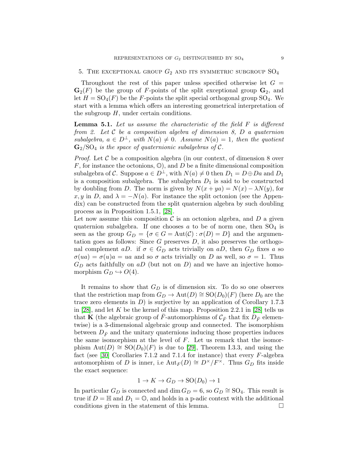<span id="page-10-0"></span>Throughout the rest of this paper unless specified otherwise let  $G =$  $\mathbf{G}_2(F)$  be the group of F-points of the split exceptional group  $\mathbf{G}_2$ , and let  $H = SO_4(F)$  be the F-points the split special orthogonal group  $SO_4$ . We start with a lemma which offers an interesting geometrical interpretation of the subgroup  $H$ , under certain conditions.

**Lemma 5.1.** Let us assume the characteristic of the field  $F$  is different from 2. Let  $C$  be a composition algebra of dimension  $S$ ,  $D$  a quaternion subalgebra,  $a \in D^{\perp}$ , with  $N(a) \neq 0$ . Assume  $N(a) = 1$ , then the quotient  $\mathbf{G}_{2}/\mathrm{SO}_{4}$  is the space of quaternionic subalgebras of C.

*Proof.* Let  $\mathcal C$  be a composition algebra (in our context, of dimension 8 over  $F$ , for instance the octonions,  $\mathbb{O}$ ), and  $D$  be a finite dimensional composition subalgebra of C. Suppose  $a \in D^{\perp}$ , with  $N(a) \neq 0$  then  $D_1 = D \oplus Da$  and  $D_1$ is a composition subalgebra. The subalgebra  $D_1$  is said to be constructed by doubling from D. The norm is given by  $N(x + ya) = N(x) - \lambda N(y)$ , for x, y in D, and  $\lambda = -N(a)$ . For instance the split octonion (see the Appendix) can be constructed from the split quaternion algebra by such doubling process as in Proposition 1.5.1, [\[28\]](#page-29-4).

Let now assume this composition  $\mathcal C$  is an octonion algebra, and  $D$  a given quaternion subalgebra. If one chooses a to be of norm one, then  $SO_4$  is seen as the group  $G_D = \{ \sigma \in G = \text{Aut}(\mathcal{C}) : \sigma(D) = D \}$  and the argumentation goes as follows: Since G preserves  $D$ , it also preserves the orthogonal complement aD. if  $\sigma \in G_D$  acts trivially on aD, then  $G_D$  fixes a so  $\sigma(ua) = \sigma(u)a = ua$  and so  $\sigma$  acts trivially on D as well, so  $\sigma = 1$ . Thus  $G_D$  acts faithfully on aD (but not on D) and we have an injective homomorphism  $G_D \hookrightarrow O(4)$ .

It remains to show that  $G_D$  is of dimension six. To do so one observes that the restriction map from  $G_D \to \text{Aut}(D) \cong \text{SO}(D_0)(F)$  (here  $D_0$  are the trace zero elements in  $D$ ) is surjective by an application of Corollary 1.7.3 in [\[28\]](#page-29-4), and let K be the kernel of this map. Proposition 2.2.1 in [28] tells us that **K** (the algebraic group of F-automorphisms of  $\mathcal{C}_{\bar{F}}$  that fix  $D_{\bar{F}}$  elementwise) is a 3-dimensional algebraic group and connected. The isomorphism between  $D_{\bar{F}}$  and the unitary quaternions inducing those properties induces the same isomorphism at the level of  $F$ . Let us remark that the isomorphism  $\text{Aut}(D) \cong \text{SO}(D_0)(F)$  is due to [\[29\]](#page-29-5), Theorem I.3.3, and using the fact (see [\[30\]](#page-29-6) Corollaries 7.1.2 and 7.1.4 for instance) that every  $F$ -algebra automorphism of D is inner, i.e  ${\rm Aut}_F(D) \cong D^{\times}/F^{\times}$ . Thus  $G_D$  fits inside the exact sequence:

$$
1 \to K \to G_D \to \text{SO}(D_0) \to 1
$$

In particular  $G_D$  is connected and  $\dim G_D = 6$ , so  $G_D \cong SO_4$ . This result is true if  $D = \mathbb{H}$  and  $D_1 = \mathbb{O}$ , and holds in a p-adic context with the additional conditions given in the statement of this lemma.  $\Box$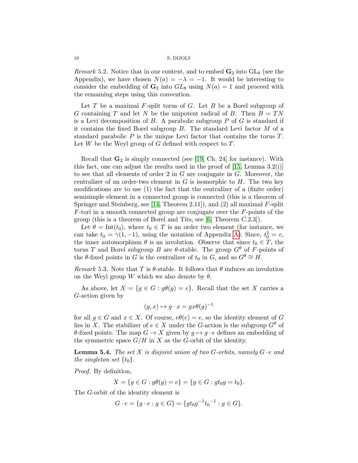*Remark* 5.2. Notice that in our context, and to embed  $\mathbf{G}_2$  into  $GL_8$  (see the Appendix), we have chosen  $N(a) = -\lambda = -1$ . It would be interesting to consider the embedding of  $\mathbf{G}_2$  into  $GL_8$  using  $N(a) = 1$  and proceed with the remaining steps using this convention.

Let  $T$  be a maximal  $F$ -split torus of  $G$ . Let  $B$  be a Borel subgroup of G containing T and let N be the unipotent radical of B. Then  $B = TN$ is a Levi decomposition of  $B$ . A parabolic subgroup  $P$  of  $G$  is standard if it contains the fixed Borel subgroup  $B$ . The standard Levi factor  $M$  of a standard parabolic  $P$  is the unique Levi factor that contains the torus  $T$ . Let  $W$  be the Weyl group of  $G$  defined with respect to  $T$ .

Recall that  $\mathbf{G}_2$  is simply connected (see [\[19,](#page-28-12) Ch. 24] for instance). With this fact, one can adjust the results used in the proof of [\[15,](#page-28-13) Lemma 3.2(i)] to see that all elements of order 2 in G are conjugate in G. Moreover, the centralizer of an order-two element in  $G$  is isomorphic to  $H$ . The two key modifications are to use (1) the fact that the centralizer of a (finite order) semisimple element in a connected group is connected (this is a theorem of Springer and Steinberg, see [\[14,](#page-28-14) Theorem 2.11]), and (2) all maximal F-split  $F$ -tori in a smooth connected group are conjugate over the  $F$ -points of the group (this is a theorem of Borel and Tits, see [\[6,](#page-28-15) Theorem C.2.3]).

Let  $\theta = \text{Int}(t_0)$ , where  $t_0 \in T$  is an order two element (for instance, we can take  $t_0 = \gamma(1, -1)$ , using the notation of Appendix [A\)](#page-22-0). Since,  $t_0^2 = e$ , the inner automorphism  $\theta$  is an involution. Observe that since  $t_0 \in \mathring{T}$ , the torus T and Borel subgroup B are  $\theta$ -stable. The group  $G^{\theta}$  of  $\tilde{F}$ -points of the  $\theta$ -fixed points in G is the centralizer of  $t_0$  in  $\widetilde{G}$ , and so  $G^{\theta} \cong H$ .

Remark 5.3. Note that T is  $\theta$ -stable. It follows that  $\theta$  induces an involution on the Weyl group W which we also denote by  $\theta$ .

As above, let  $X = \{g \in G : g\theta(g) = e\}$ . Recall that the set X carries a G-action given by

$$
(g, x) \mapsto g \cdot x = gx\theta(g)^{-1}
$$

for all  $g \in G$  and  $x \in X$ . Of course,  $e\theta(e) = e$ , so the identity element of G lies in X. The stabilizer of  $e \in X$  under the G-action is the subgroup  $G^{\theta}$  of  $\theta$ -fixed points. The map  $G \to X$  given by  $g \mapsto g \cdot e$  defines an embedding of the symmetric space  $G/H$  in X as the G-orbit of the identity.

<span id="page-11-0"></span>**Lemma 5.4.** The set X is disjoint union of two G-orbits, namely  $G \cdot e$  and the singleton set  $\{t_0\}$ .

Proof. By definition,

$$
X = \{ g \in G : g\theta(g) = e \} = \{ g \in G : gt_0g = t_0 \}.
$$

The G-orbit of the identity element is

$$
G \cdot e = \{ g \cdot e : g \in G \} = \{ g t_0 g^{-1} t_0^{-1} : g \in G \}.
$$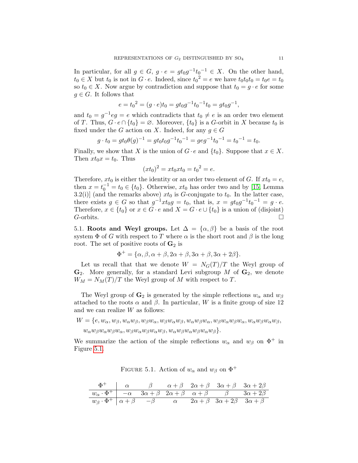In particular, for all  $g \in G$ ,  $g \cdot e = gt_0g^{-1}t_0^{-1} \in X$ . On the other hand,  $t_0 \in X$  but  $t_0$  is not in  $G \cdot e$ . Indeed, since  $t_0^2 = e$  we have  $t_0 t_0 t_0 = t_0 e = t_0$ so  $t_0 \in X$ . Now argue by contradiction and suppose that  $t_0 = g \cdot e$  for some  $g \in G$ . It follows that

$$
e = t_0^2 = (g \cdot e)t_0 = gt_0g^{-1}t_0^{-1}t_0 = gt_0g^{-1},
$$

and  $t_0 = g^{-1}eg = e$  which contradicts that  $t_0 \neq e$  is an order two element of T. Thus,  $G \cdot e \cap \{t_0\} = \emptyset$ . Moreover,  $\{t_0\}$  is a G-orbit in X because  $t_0$  is fixed under the G action on X. Indeed, for any  $q \in G$ 

$$
g \cdot t_0 = gt_0 \theta(g)^{-1} = gt_0 t_0 g^{-1} t_0^{-1} = geg^{-1} t_0^{-1} = t_0^{-1} = t_0.
$$

Finally, we show that X is the union of  $G \cdot e$  and  $\{t_0\}$ . Suppose that  $x \in X$ . Then  $xt_0x = t_0$ . Thus

$$
(xt_0)^2 = xt_0xt_0 = t_0^2 = e.
$$

Therefore,  $xt_0$  is either the identity or an order two element of G. If  $xt_0 = e$ , then  $x = t_0^{-1} = t_0 \in \{t_0\}$ . Otherwise,  $xt_0$  has order two and by [\[15,](#page-28-13) Lemma 3.2(i)] (and the remarks above)  $xt_0$  is G-conjugate to  $t_0$ . In the latter case, there exists  $g \in G$  so that  $g^{-1}xt_0g = t_0$ , that is,  $x = gt_0g^{-1}t_0^{-1} = g \cdot e$ . Therefore,  $x \in \{t_0\}$  or  $x \in G \cdot e$  and  $X = G \cdot e \cup \{t_0\}$  is a union of (disjoint)  $G$ -orbits.

<span id="page-12-0"></span>5.1. Roots and Weyl groups. Let  $\Delta = {\alpha, \beta}$  be a basis of the root system  $\Phi$  of G with respect to T where  $\alpha$  is the short root and  $\beta$  is the long root. The set of positive roots of  $\mathbf{G}_2$  is

$$
\Phi^+ = \{\alpha, \beta, \alpha + \beta, 2\alpha + \beta, 3\alpha + \beta, 3\alpha + 2\beta\}.
$$

Let us recall that that we denote  $W = N<sub>G</sub>(T)/T$  the Weyl group of  $\mathbf{G}_2$ . More generally, for a standard Levi subgroup M of  $\mathbf{G}_2$ , we denote  $W_M = N_M(T)/T$  the Weyl group of M with respect to T.

The Weyl group of  $\mathbf{G}_2$  is generated by the simple reflections  $w_\alpha$  and  $w_\beta$ attached to the roots  $\alpha$  and  $\beta$ . In particular, W is a finite group of size 12 and we can realize W as follows:

$$
W = \{e, w_{\alpha}, w_{\beta}, w_{\alpha}w_{\beta}, w_{\beta}w_{\alpha}, w_{\beta}w_{\alpha}w_{\beta}, w_{\alpha}w_{\beta}w_{\alpha}, w_{\beta}w_{\alpha}w_{\beta}w_{\alpha}, w_{\alpha}w_{\beta}w_{\alpha}w_{\beta}, w_{\alpha}w_{\beta}w_{\alpha}w_{\beta}w_{\alpha}, w_{\beta}w_{\alpha}w_{\beta}w_{\alpha}w_{\beta}, w_{\alpha}w_{\beta}w_{\alpha}w_{\beta}w_{\alpha}w_{\beta}\}.
$$

We summarize the action of the simple reflections  $w_{\alpha}$  and  $w_{\beta}$  on  $\Phi^+$  in Figure [5.1.](#page-12-0)

<span id="page-12-1"></span>FIGURE 5.1. Action of  $w_\alpha$  and  $w_\beta$  on  $\Phi^+$ 

| $\Phi^+$   $\alpha$   $\beta$   $\alpha + \beta$   $2\alpha + \beta$   $3\alpha + \beta$   $3\alpha + 2\beta$         |  |  |  |  |
|-----------------------------------------------------------------------------------------------------------------------|--|--|--|--|
| $w_{\alpha} \cdot \Phi^+$ $-\alpha$ $3\alpha + \beta$ $2\alpha + \beta$ $\alpha + \beta$ $\beta$ $3\alpha + 2\beta$   |  |  |  |  |
| $w_{\beta} \cdot \Phi^+ \mid \alpha + \beta$ $-\beta$ $\alpha$ $2\alpha + \beta$ $3\alpha + 2\beta$ $3\alpha + \beta$ |  |  |  |  |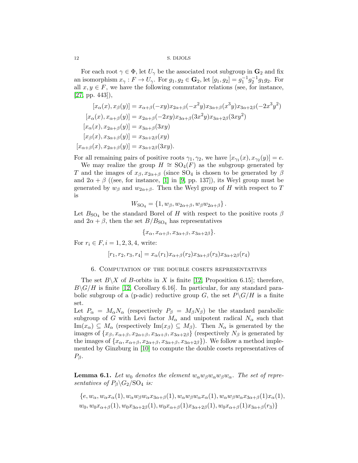For each root  $\gamma \in \Phi$ , let  $U_{\gamma}$  be the associated root subgroup in  $\mathbf{G}_2$  and fix an isomorphism  $x_{\gamma}: F \to U_{\gamma}$ . For  $g_1, g_2 \in \mathbf{G}_2$ , let  $[g_1, g_2] = g_1^{-1} g_2^{-1} g_1 g_2$ . For all  $x, y \in F$ , we have the following commutator relations (see, for instance, [\[27,](#page-29-7) pp. 443]),

$$
[x_{\alpha}(x), x_{\beta}(y)] = x_{\alpha+\beta}(-xy)x_{2\alpha+\beta}(-x^2y)x_{3\alpha+\beta}(x^3y)x_{3\alpha+2\beta}(-2x^3y^2)
$$
  
\n
$$
[x_{\alpha}(x), x_{\alpha+\beta}(y)] = x_{2\alpha+\beta}(-2xy)x_{3\alpha+\beta}(3x^2y)x_{3\alpha+2\beta}(3xy^2)
$$
  
\n
$$
[x_{\alpha}(x), x_{2\alpha+\beta}(y)] = x_{3\alpha+\beta}(3xy)
$$
  
\n
$$
[x_{\beta}(x), x_{3\alpha+\beta}(y)] = x_{3\alpha+2\beta}(xy)
$$
  
\n
$$
[x_{\alpha+\beta}(x), x_{2\alpha+\beta}(y)] = x_{3\alpha+2\beta}(3xy).
$$

For all remaining pairs of positive roots  $\gamma_1, \gamma_2$ , we have  $[x_{\gamma_1}(x), x_{\gamma_2}(y)] = e$ .

We may realize the group  $H \cong SO_4(F)$  as the subgroup generated by T and the images of  $x_{\beta}, x_{2\alpha+\beta}$  (since SO<sub>4</sub> is chosen to be generated by  $\beta$ and  $2\alpha + \beta$  ((see, for instance, [\[1\]](#page-27-1) in [\[9,](#page-28-16) pp. 137]), its Weyl group must be generated by  $w_{\beta}$  and  $w_{2\alpha+\beta}$ . Then the Weyl group of H with respect to T is

$$
W_{\text{SO}_4} = \{1, w_\beta, w_{2\alpha+\beta}, w_\beta w_{2\alpha+\beta}\}.
$$

Let  $B_{\text{SO}_4}$  be the standard Borel of H with respect to the positive roots  $\beta$ and  $2\alpha + \beta$ , then the set  $B/B<sub>SO<sub>4</sub></sub>$  has representatives

$$
\{x_{\alpha}, x_{\alpha+\beta}, x_{3\alpha+\beta}, x_{3\alpha+2\beta}\}.
$$

For  $r_i \in F$ ,  $i = 1, 2, 3, 4$ , write:

$$
[r_1, r_2, r_3, r_4] = x_{\alpha}(r_1)x_{\alpha+\beta}(r_2)x_{3\alpha+\beta}(r_3)x_{3\alpha+2\beta}(r_4)
$$

### 6. Computation of the double cosets representatives

<span id="page-13-0"></span>The set  $B\backslash X$  of B-orbits in X is finite [\[12,](#page-28-7) Proposition 6.15]; therefore,  $B\backslash G/H$  is finite [\[12,](#page-28-7) Corollary 6.16]. In particular, for any standard parabolic subgroup of a (p-adic) reductive group G, the set  $P\backslash G/H$  is a finite set.

Let  $P_{\alpha} = M_{\alpha} N_{\alpha}$  (respectively  $P_{\beta} = M_{\beta} N_{\beta}$ ) be the standard parabolic subgroup of G with Levi factor  $M_{\alpha}$  and unipotent radical  $N_{\alpha}$  such that  $\text{Im}(x_{\alpha}) \subseteq M_{\alpha}$  (respectively  $\text{Im}(x_{\beta}) \subseteq M_{\beta}$ ). Then  $N_{\alpha}$  is generated by the images of  $\{x_\beta, x_{\alpha+\beta}, x_{2\alpha+\beta}, x_{3\alpha+\beta}, x_{3\alpha+2\beta}\}$  (respectively  $N_\beta$  is generated by the images of  $\{x_{\alpha}, x_{\alpha+\beta}, x_{2\alpha+\beta}, x_{3\alpha+\beta}, x_{3\alpha+2\beta}\}\)$ . We follow a method implemented by Ginzburg in [\[10\]](#page-28-5) to compute the double cosets representatives of  $P_{\beta}$ .

<span id="page-13-1"></span>**Lemma 6.1.** Let  $w_0$  denotes the element  $w_\alpha w_\beta w_\alpha w_\beta w_\alpha$ . The set of representatives of  $P_\beta \backslash G_2 / \mathrm{SO}_4$  is:

 ${e, w_\alpha, w_\alpha x_\alpha(1), w_\alpha w_\beta w_\alpha x_{3\alpha+\beta}(1), w_\alpha w_\beta w_\alpha x_\alpha(1), w_\alpha w_\beta w_\alpha x_{3\alpha+\beta}(1)x_\alpha(1)},$  $w_0, w_0x_{\alpha+\beta}(1), w_0x_{3\alpha+2\beta}(1), w_0x_{\alpha+\beta}(1)x_{3\alpha+2\beta}(1), w_0x_{\alpha+\beta}(1)x_{3\alpha+\beta}(r_3)$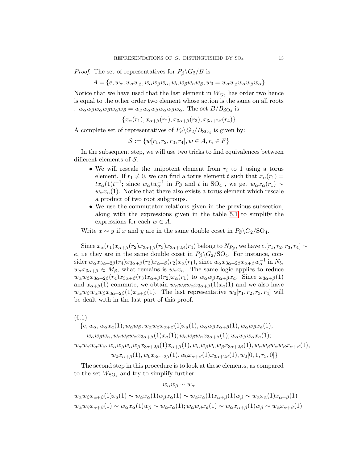*Proof.* The set of representatives for  $P_\beta \backslash G_2/B$  is

 $A = \{e, w_{\alpha}, w_{\alpha}w_{\beta}, w_{\alpha}w_{\beta}w_{\alpha}, w_{\alpha}w_{\beta}w_{\alpha}w_{\beta}, w_{0} = w_{\alpha}w_{\beta}w_{\alpha}w_{\beta}w_{\alpha}\}$ 

Notice that we have used that the last element in  $W_{G_2}$  has order two hence is equal to the other order two element whose action is the same on all roots :  $w_{\alpha}w_{\beta}w_{\alpha}w_{\beta}w_{\alpha}w_{\beta} = w_{\beta}w_{\alpha}w_{\beta}w_{\alpha}w_{\beta}w_{\alpha}$ . The set  $B/B_{\text{SO}_4}$  is

$$
\{x_\alpha(r_1), x_{\alpha+\beta}(r_2), x_{3\alpha+\beta}(r_3), x_{3\alpha+2\beta}(r_4)\}\
$$

A complete set of representatives of  $P_\beta \backslash G_2 / B_{\text{SO}_4}$  is given by:

$$
\mathcal{S} := \{ w[r_1, r_2, r_3, r_4], w \in A, r_i \in F \}
$$

In the subsequent step, we will use two tricks to find equivalences between different elements of  $\mathcal{S}$ :

- We will rescale the unipotent element from  $r_i$  to 1 using a torus element. If  $r_1 \neq 0$ , we can find a torus element t such that  $x_\alpha(r_1) =$  $tx_\alpha(1)t^{-1}$ ; since  $w_\alpha tw_\alpha^{-1}$  in  $P_\beta$  and t in SO<sub>4</sub>, we get  $w_\alpha x_\alpha(r_1) \sim$  $w_{\alpha}x_{\alpha}(1)$ . Notice that there also exists a torus element which rescale a product of two root subgroups.
- We use the commutator relations given in the previous subsection, along with the expressions given in the table [5.1](#page-12-1) to simplify the expressions for each  $w \in A$ .

Write  $x \sim y$  if x and y are in the same double coset in  $P_\beta \backslash G_2 / SO_4$ .

Since  $x_{\alpha}(r_1)x_{\alpha+\beta}(r_2)x_{3\alpha+\beta}(r_3)x_{3\alpha+2\beta}(r_4)$  belong to  $N_{P_{\beta}}$ , we have  $e.[r_1, r_2, r_3, r_4] \sim$ e, i.e they are in the same double coset in  $P_\beta \backslash G_2 / SO_4$ . For instance, consider  $w_{\alpha}x_{3\alpha+2\beta}(r_4)x_{3\alpha+\beta}(r_3)x_{\alpha+\beta}(r_2)x_{\alpha}(r_1)$ , since  $w_{\alpha}x_{3\alpha+2\beta}x_{\alpha+\beta}w_{\alpha}^{-1}$  in  $N_b$ ,  $w_{\alpha}x_{3\alpha+\beta} \in M_{\beta}$ , what remains is  $w_{\alpha}x_{\alpha}$ . The same logic applies to reduce  $w_{\alpha}w_{\beta}x_{3\alpha+2\beta}(r_4)x_{3\alpha+\beta}(r_3)x_{\alpha+\beta}(r_2)x_{\alpha}(r_1)$  to  $w_{\alpha}w_{\beta}x_{\alpha+\beta}x_a$ . Since  $x_{3\alpha+\beta}(1)$ and  $x_{\alpha+\beta}(1)$  commute, we obtain  $w_{\alpha}w_{\beta}w_{\alpha}x_{3\alpha+\beta}(1)x_a(1)$  and we also have  $w_{\alpha}w_{\beta}w_{\alpha}w_{\beta}x_{3\alpha+2\beta}(1)x_{\alpha+\beta}(1)$ . The last representative  $w_0[r_1, r_2, r_3, r_4]$  will be dealt with in the last part of this proof.

(6.1)

$$
\{e, w_{\alpha}, w_{\alpha}x_a(1); w_{\alpha}w_{\beta}, w_{\alpha}w_{\beta}x_{\alpha+\beta}(1)x_a(1), w_{\alpha}w_{\beta}x_{\alpha+\beta}(1), w_{\alpha}w_{\beta}x_a(1)\}
$$

 $w_{\alpha}w_{\beta}w_{\alpha}, w_{\alpha}w_{\beta}w_{\alpha}x_{3\alpha+\beta}(1)x_{a}(1); w_{\alpha}w_{\beta}w_{\alpha}x_{3\alpha+\beta}(1); w_{\alpha}w_{\beta}w_{\alpha}x_{a}(1);$ 

 $w_{\alpha}w_{\beta}w_{\alpha}w_{\beta}w_{\alpha}w_{\beta}w_{\alpha}w_{\beta}x_{3\alpha+2\beta}(1)x_{\alpha+\beta}(1), w_{\alpha}w_{\beta}w_{\alpha}w_{\beta}x_{3\alpha+2\beta}(1), w_{\alpha}w_{\beta}w_{\alpha}w_{\beta}x_{\alpha+\beta}(1),$ 

 $w_0x_{\alpha+\beta}(1), w_0x_{3\alpha+2\beta}(1), w_0x_{\alpha+\beta}(1)x_{3\alpha+2\beta}(1), w_0[0, 1, r_3, 0]\}$ 

The second step in this procedure is to look at these elements, as compared to the set  $W<sub>SO<sub>4</sub></sub>$  and try to simplify further:

 $w_\alpha w_\beta \sim w_\alpha$ 

 $w_{\alpha}w_{\beta}x_{\alpha+\beta}(1)x_{a}(1) \sim w_{\alpha}x_{\alpha}(1)w_{\beta}x_{\alpha}(1) \sim w_{\alpha}x_{\alpha}(1)x_{\alpha+\beta}(1)w_{\beta} \sim w_{\alpha}x_{\alpha}(1)x_{\alpha+\beta}(1)$  $w_{\alpha}w_{\beta}x_{\alpha+\beta}(1) \sim w_{\alpha}x_{\alpha}(1)w_{\beta} \sim w_{\alpha}x_{\alpha}(1); w_{\alpha}w_{\beta}x_{\alpha}(1) \sim w_{\alpha}x_{\alpha+\beta}(1)w_{\beta} \sim w_{\alpha}x_{\alpha+1}$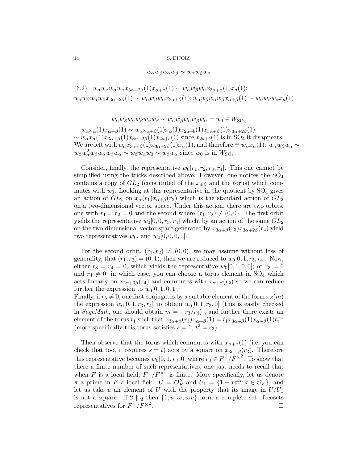$w_{\alpha}w_{\beta}w_{\alpha}w_{\beta} \sim w_{\alpha}w_{\beta}w_{\alpha}$ 

(6.2)  $w_{\alpha}w_{\beta}w_{\alpha}w_{\beta}x_{3\alpha+2\beta}(1)x_{\alpha+\beta}(1) \sim w_{\alpha}w_{\beta}w_{\alpha}x_{3\alpha+\beta}(1)x_a(1);$  $w_{\alpha}w_{\beta}w_{\alpha}w_{\beta}x_{3\alpha+2\beta}(1) \sim w_{\alpha}w_{\beta}w_{\alpha}x_{3\alpha+\beta}(1); w_{\alpha}w_{\beta}w_{\alpha}w_{\beta}x_{\alpha+\beta}(1) \sim w_{\alpha}w_{\beta}w_{\alpha}x_a(1)$ 

 $w_{\alpha}w_{\beta}w_{\alpha}w_{\beta}w_{\alpha}w_{\beta}w_{\alpha}w_{\beta}w_{\alpha}w_{\beta}w_{\alpha}w_{\beta}w_{\alpha}w_{\beta}w_{\alpha}w_{\beta}w_{\alpha}w_{\beta}w_{\alpha}w_{\beta}w_{\alpha}w_{\beta}w_{\alpha}w_{\beta}w_{\alpha}w_{\beta}w_{\alpha}w_{\beta}w_{\alpha}w_{\beta}w_{\alpha}w_{\beta}w_{\alpha}w_{\beta}w_{\alpha}w_{\beta}w_{\alpha}w_{\beta}w_{\alpha}w_{\beta}w_{\alpha}w_{\beta}w_{\alpha}w_{\beta}$ 

 $w_{\alpha}x_{\alpha}(1)x_{\alpha+\beta}(1) \sim w_{\alpha}x_{\alpha+\beta}(1)x_{\alpha}(1)x_{2a+b}(1)x_{3\alpha+\beta}(1)x_{3\alpha+2\beta}(1)$  $\sim w_{\alpha}x_{\alpha}(1)x_{3\alpha+\beta}(1)x_{3\alpha+2\beta}(1)x_{2a+b}(1)$  since  $x_{2a+b}(1)$  is in SO<sub>4</sub> it disappears. We are left with  $w_{\alpha}x_{3\alpha+\beta}(1)x_{3\alpha+2\beta}(1)x_{\alpha}(1)$ , and therefore  $\cong w_{\alpha}x_{\alpha}(1)$ .  $w_{\alpha}w_{\beta}w_{\alpha} \sim$  $w_{\beta}w_{\alpha}^2 w_{\beta}w_{\alpha}w_{\beta}w_{\alpha} \sim w_{\beta}w_{\alpha}w_0 \sim w_{\beta}w_{\alpha}$  since  $w_0$  is in  $W_{\text{SO}_4}$ .

Consider, finally, the representative  $w_0[r_1, r_2, r_3, r_4]$ . This one cannot be simplified using the tricks described above. However, one notices the  $SO_4$ contains a copy of  $GL_2$  (constituted of the  $x_{\pm\beta}$  and the torus) which commutes with  $w_0$ . Looking at this representative in the quotient by  $SO_4$  gives an action of  $GL_2$  on  $x_\alpha(r_1)x_{\alpha+\beta}(r_2)$  which is the standard action of  $GL_2$ on a two-dimensional vector space. Under this action, there are two orbits, one with  $r_1 = r_2 = 0$  and the second where  $(r_1, r_2) \neq (0, 0)$ . The first orbit yields the representative  $w_0[0, 0, r_3, r_4]$  which, by an action of the same  $GL_2$ on the two-dimensional vector space generated by  $x_{3\alpha+\beta}(r_3)x_{3\alpha+2\beta}(r_4)$  yield two representatives  $w_0$ , and  $w_0[0, 0, 0, 1]$ .

For the second orbit,  $(r_1, r_2) \neq (0, 0)$ , we may assume without loss of generality, that  $(r_1, r_2) = (0, 1)$ , then we are reduced to  $w_0[0, 1, r_3, r_4]$ . Now, either  $r_3 = r_4 = 0$ , which yields the representative  $w_0[0, 1, 0, 0]$ ; or  $r_3 = 0$ and  $r_4 \neq 0$ , in which case, you can choose a torus element in SO<sub>4</sub> which acts linearly on  $x_{2\alpha+3\beta}(r_4)$  and commutes with  $x_{\alpha+\beta}(r_2)$  so we can reduce further the expression to  $w_0[0, 1, 0, 1]$ .

Finally, if  $r_3 \neq 0$ , one first conjugates by a suitable element of the form  $x_\beta(m)$ the expression  $w_0[0, 1, r_3, r_4]$  to obtain  $w_0[0, 1, r_3, 0]$  (this is easily checked in SageMath, one should obtain  $m = -r_3/r_4$ , and further there exists an element of the torus  $t_1$  such that  $x_{3\alpha+\beta}(r_3)x_{\alpha+\beta}(1) = t_1x_{3\alpha+\beta}(1)x_{\alpha+\beta}(1)t_1^{-1}$ (more specifically this torus satisfies  $s = 1, t^2 = r_3$ ).

Then observe that the torus which commutes with  $x_{\alpha+\beta}(1)$  (i.e., you can check that too, it requires  $s = t$ ) acts by a square on  $x_{3\alpha+\beta}(r_3)$ . Therefore this representative becomes  $w_0[0, 1, r_3, 0]$  where  $r_3 \in F^{\times}/F^{\times}^2$ . To show that there a finite number of such representatives, one just needs to recall that when F is a local field,  $F^{\times}/F^{\times^2}$  is finite. More specifically, let us denote  $\pi$  a prime in F a local field,  $U = \mathcal{O}_F^{\times}$  $Y_F^{\times}$  and  $U_1 = \{1 + x\varpi^n | x \in \mathcal{O}_F\}$ , and let us take u an element of U with the property that its image in  $U/U_1$ is not a square. If  $2 \nmid q$  then  $\{1, u, \varpi, \varpi u\}$  form a complete set of cosets representatives for  $F^{\times}/F^{\times}{}^2$ .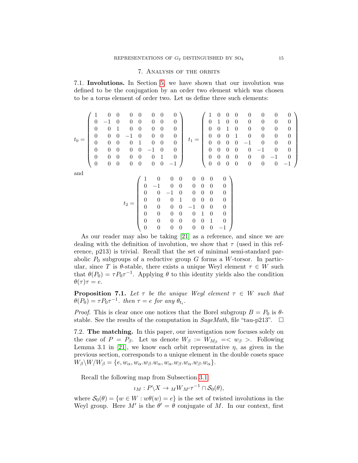### 7. Analysis of the orbits

<span id="page-16-3"></span><span id="page-16-0"></span>7.1. Involutions. In Section [5,](#page-10-0) we have shown that our involution was defined to be the conjugation by an order two element which was chosen to be a torus element of order two. Let us define three such elements:

t<sup>0</sup> = 1 0 0 0 0 0 0 0 0 −1 0 0 0 0 0 0 0 0 1 0 0 0 0 0 0 0 0 −1 0 0 0 0 0 0 0 0 1 0 0 0 0 0 0 0 0 −1 0 0 0 0 0 0 0 0 1 0 0 0 0 0 0 0 0 −1 t<sup>1</sup> = 1 0 0 0 0 0 0 0 0 1 0 0 0 0 0 0 0 0 1 0 0 0 0 0 0 0 0 1 0 0 0 0 0 0 0 0 −1 0 0 0 0 0 0 0 0 −1 0 0 0 0 0 0 0 0 −1 0 0 0 0 0 0 0 0 −1 

and

t<sup>2</sup> = 1 0 0 0 0 0 0 0 0 −1 0 0 0 0 0 0 0 0 −1 0 0 0 0 0 0 0 0 1 0 0 0 0 0 0 0 0 −1 0 0 0 0 0 0 0 0 1 0 0 0 0 0 0 0 0 1 0 0 0 0 0 0 0 0 −1 

As our reader may also be taking [\[21\]](#page-28-4) as a reference, and since we are dealing with the definition of involution, we show that  $\tau$  (used in this reference, p213) is trivial. Recall that the set of minimal semi-standard parabolic  $P_0$  subgroups of a reductive group G forms a W-torsor. In particular, since T is  $\theta$ -stable, there exists a unique Weyl element  $\tau \in W$  such that  $\theta(P_0) = \tau P_0 \tau^{-1}$ . Applying  $\theta$  to this identity yields also the condition  $\theta(\tau)\tau=e.$ 

<span id="page-16-1"></span>**Proposition 7.1.** Let  $\tau$  be the unique Weyl element  $\tau \in W$  such that  $\theta(P_0) = \tau P_0 \tau^{-1}$ . then  $\tau = e$  for any  $\theta_{t_i}$ .

*Proof.* This is clear once one notices that the Borel subgroup  $B = P_0$  is  $\theta$ stable. See the results of the computation in  $SageMath$ , file "tau-p213".  $\Box$ 

<span id="page-16-2"></span>7.2. The matching. In this paper, our investigation now focuses solely on the case of  $P = P_{\beta}$ . Let us denote  $W_{\beta} := W_{M_{\beta}} = \langle w_{\beta} \rangle$ . Following Lemma 3.1 in [\[21\]](#page-28-4), we know each orbit representative  $\eta$ , as given in the previous section, corresponds to a unique element in the double cosets space  $W_{\beta}\backslash W/W_{\beta} = \{e, w_{\alpha}, w_{\alpha}.w_{\beta}.w_{\alpha}, w_{\alpha}.w_{\beta}.w_{\alpha}.w_{\beta}.w_{\alpha}\}.$ 

Recall the following map from Subsection [3.1:](#page-8-2)

$$
\iota_M: P \backslash X \to \iota_M W_{M'} \tau^{-1} \cap \mathcal{S}_0(\theta),
$$

where  $S_0(\theta) = \{w \in W : w\theta(w) = e\}$  is the set of twisted involutions in the Weyl group. Here M' is the  $\theta' = \theta$  conjugate of M. In our context, first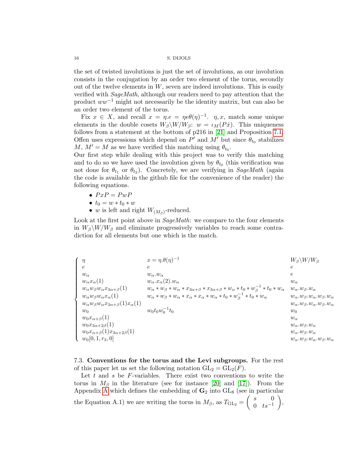the set of twisted involutions is just the set of involutions, as our involution consists in the conjugation by an order two element of the torus, secondly out of the twelve elements in  $W$ , seven are indeed involutions. This is easily verified with SageMath, although our readers need to pay attention that the product  $ww^{-1}$  might not necessarily be the identity matrix, but can also be an order two element of the torus.

Fix  $x \in X$ , and recall  $x = \eta \cdot e = \eta e \theta(\eta)^{-1}$ .  $\eta, x$ , match some unique elements in the double cosets  $W_{\beta}\backslash W/W_{\beta}$ :  $w = \iota_M(P\dot{x})$ . This uniqueness follows from a statement at the bottom of p216 in [\[21\]](#page-28-4) and Proposition [7.1.](#page-16-1) Offen uses expressions which depend on  $P'$  and  $M'$  but since  $\theta_{t_0}$  stabilizes M,  $M' = M$  as we have verified this matching using  $\theta_{t_0}$ .

Our first step while dealing with this project was to verify this matching and to do so we have used the involution given by  $\theta_{t_0}$  (this verification was not done for  $\theta_{t_1}$  or  $\theta_{t_2}$ ). Concretely, we are verifying in SageMath (again the code is available in the github file for the convenience of the reader) the following equations.

- $PxP = PwP$
- $t_0 = w * t_0 * w$
- w is left and right  $W_{(M_\beta)}$ -reduced.

Look at the first point above in SageMath: we compare to the four elements in  $W_\beta \backslash W/W_\beta$  and eliminate progressively variables to reach some contradiction for all elements but one which is the match.

| $\eta$                                                           | $x = \eta \theta(\eta)^{-1}$                                                                                                         | $W_{\beta} \backslash W / W_{\beta}$                   |
|------------------------------------------------------------------|--------------------------------------------------------------------------------------------------------------------------------------|--------------------------------------------------------|
| $\epsilon$                                                       | $\epsilon$                                                                                                                           | $\epsilon$                                             |
| $w_{\alpha}$                                                     | $w_{\alpha}.w_{\alpha}$                                                                                                              | $\epsilon$                                             |
| $w_{\alpha}x_{\alpha}(1)$                                        | $w_{\alpha}$ . $x_{\alpha}(2)$ . $w_{\alpha}$                                                                                        | $w_{\alpha}$                                           |
| $w_{\alpha}w_{\beta}w_{\alpha}x_{3\alpha+\beta}(1)$              | $w_{\alpha} * w_{\beta} * w_{\alpha} * x_{3\alpha+\beta} * x_{3\alpha+\beta} * w_{\alpha} * t_0 * w_{\beta}^{-1} * t_0 * w_{\alpha}$ | $w_{\alpha}.w_{\beta}.w_{\alpha}$                      |
| $w_{\alpha}w_{\beta}w_{\alpha}x_{\alpha}(1)$                     | $w_{\alpha} * w_{\beta} * w_{\alpha} * x_{\alpha} * x_{\alpha} * w_{\alpha} * t_0 * w_{\beta}^{-1} * t_0 * w_{\alpha}$               | $w_{\alpha}.w_{\beta}.w_{\alpha}.w_{\beta}.w_{\alpha}$ |
| $w_{\alpha}w_{\beta}w_{\alpha}x_{3\alpha+\beta}(1)x_{\alpha}(1)$ |                                                                                                                                      | $w_{\alpha}.w_{\beta}.w_{\alpha}.w_{\beta}.w_{\alpha}$ |
| $w_0$                                                            | $w_0t_0w_0^{-1}t_0$                                                                                                                  | $w_0$                                                  |
| $w_0x_{\alpha+\beta}(1)$                                         |                                                                                                                                      | $w_{\alpha}$                                           |
| $w_0x_{3\alpha+2\beta}(1)$                                       |                                                                                                                                      | $w_{\alpha}.w_{\beta}.w_{\alpha}$                      |
| $w_0x_{\alpha+\beta}(1)x_{3\alpha+2\beta}(1)$                    |                                                                                                                                      | $w_{\alpha}.w_{\beta}.w_{\alpha}$                      |
| $w_0[0, 1, r_3, 0]$                                              |                                                                                                                                      | $w_{\alpha}.w_{\beta}.w_{\alpha}.w_{\beta}.w_{\alpha}$ |

<span id="page-17-0"></span>7.3. Conventions for the torus and the Levi subgroups. For the rest of this paper let us set the following notation  $GL_2 = GL_2(F)$ .

Let  $t$  and  $s$  be  $F$ -variables. There exist two conventions to write the torus in  $M_\beta$  in the literature (see for instance [\[20\]](#page-28-11) and [\[17\]](#page-28-17)). From the Appendix [A](#page-22-0) which defines the embedding of  $G_2$  into  $GL_8$  (see in particular the Equation A.1) we are writing the torus in  $M_{\beta}$ , as  $T_{\text{GL}_2} = \begin{pmatrix} s & 0 \\ 0 & t \end{pmatrix}$ 0  $ts^{-1}$  $\bigg),$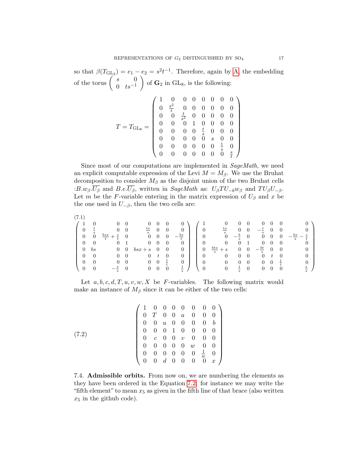so that  $\beta(T_{GL_2}) = e_1 - e_2 = s^2 t^{-1}$ . Therefore, again by [A,](#page-22-0) the embedding of the torus  $\begin{pmatrix} s & 0 \\ 0 & t_0-1 \end{pmatrix}$ 0  $ts^{-1}$ of  $\mathbf{G}_2$  in  $GL_8$ , is the following:

$$
T = T_{\rm GL_8} = \left(\begin{array}{cccccc} 1 & 0 & 0 & 0 & 0 & 0 & 0 & 0 \\ 0 & \frac{s^2}{t} & 0 & 0 & 0 & 0 & 0 & 0 \\ 0 & 0 & \frac{t}{s^2} & 0 & 0 & 0 & 0 & 0 \\ 0 & 0 & 0 & 1 & 0 & 0 & 0 & 0 \\ 0 & 0 & 0 & 0 & \frac{t}{s} & 0 & 0 & 0 \\ 0 & 0 & 0 & 0 & 0 & s & 0 & 0 \\ 0 & 0 & 0 & 0 & 0 & 0 & \frac{1}{s} & 0 \\ 0 & 0 & 0 & 0 & 0 & 0 & 0 & \frac{s}{t} \end{array}\right)
$$

Since most of our computations are implemented in SageMath, we need an explicit computable expression of the Levi  $M = M_{\beta}$ . We use the Bruhat decomposition to consider  $M_\beta$  as the disjoint union of the two Bruhat cells : $B.w_{\beta}.\overline{U_{\beta}}$  and  $B.e.\overline{U_{\beta}}$ , written in SageMath as:  $U_{\beta}TU_{-\theta}w_{\beta}$  and  $TU_{\beta}U_{-\beta}$ . Let m be the F-variable entering in the matrix expression of  $U_\beta$  and x be the one used in  $U_{-\beta}$ , then the two cells are:

<span id="page-18-2"></span>

| $\cdots$       |                |                                      |                          |                |                |                |                 |                                      |                                                       |                |                |                                    |                |                |                           |
|----------------|----------------|--------------------------------------|--------------------------|----------------|----------------|----------------|-----------------|--------------------------------------|-------------------------------------------------------|----------------|----------------|------------------------------------|----------------|----------------|---------------------------|
|                |                |                                      |                          | $\theta$       |                |                |                 |                                      |                                                       |                |                |                                    |                |                |                           |
|                |                | $\overline{0}$                       | $\overline{\phantom{0}}$ | $\frac{tx}{s}$ | $\overline{0}$ | $\overline{0}$ | $\theta$        | $\overline{0}$                       | $\frac{tx}{-}$                                        | $\overline{0}$ | $\overline{0}$ | $-\frac{t}{t}$<br>$\boldsymbol{s}$ | $\theta$       | $\overline{0}$ |                           |
| $\overline{0}$ | $\overline{0}$ | $rac{bsx}{t}$ .<br>$+$ $\frac{s}{t}$ | $\overline{0}$           | $0 \quad 0$    |                |                | $-\frac{bs}{s}$ | $\overline{0}$                       | $\begin{array}{ccc} 0 & -\frac{b}{s} & 0 \end{array}$ |                |                | $0 \quad 0$                        |                | $\overline{0}$ | $-\frac{bx}{x}$<br>s<br>s |
|                | $\overline{0}$ | $\overline{0}$                       |                          | $\overline{0}$ | $\overline{0}$ | $\theta$       | $\theta$        | $\cdot$ 0                            | $\overline{0}$                                        | $\overline{0}$ | $\overline{1}$ | $\overline{0}$                     | $\overline{0}$ | $\overline{0}$ |                           |
| $\overline{0}$ | bs             | $0\quad 0$                           |                          | $bsx + s$      | $\overline{0}$ | $\overline{0}$ | $\overline{0}$  | $\boldsymbol{0}$                     | $rac{btx}{s}+s$                                       | $\mathbf{0}$   | $\overline{0}$ | $-\frac{bt}{ }$ 0<br>s             |                | $\overline{0}$ |                           |
|                | $\overline{0}$ | $\overline{0}$                       |                          | $\overline{0}$ |                |                | $\overline{0}$  | $\begin{array}{ccc} 0 & \end{array}$ | $\overline{0}$                                        | $\mathbf{0}$   | $\overline{0}$ | $\overline{0}$                     | t              | $\overline{0}$ |                           |
|                | $\overline{0}$ | $\overline{0}$                       | $\overline{\phantom{0}}$ | $0\quad 0$     |                |                | $\overline{0}$  | $\bullet$ 0                          | $\overline{0}$                                        | $\mathbf{0}$   | $\overline{0}$ | 0                                  | $\overline{0}$ | ÷              |                           |
|                |                | $\frac{x}{-}$                        |                          | $\overline{0}$ |                |                | 吉               | $\overline{0}$                       | $\overline{0}$                                        | $\pm$          |                |                                    |                | $\overline{0}$ |                           |
|                |                |                                      |                          |                |                |                |                 |                                      |                                                       |                |                |                                    |                |                |                           |

Let  $a, b, c, d, T, u, v, w, X$  be F-variables. The following matrix would make an instance of  $M_\beta$  since it can be either of the two cells:

<span id="page-18-0"></span>(7.2) 
$$
\begin{pmatrix}\n1 & 0 & 0 & 0 & 0 & 0 & 0 & 0 \\
0 & T & 0 & 0 & a & 0 & 0 & 0 \\
0 & 0 & u & 0 & 0 & 0 & 0 & b \\
0 & 0 & 0 & 1 & 0 & 0 & 0 & 0 \\
0 & c & 0 & 0 & v & 0 & 0 & 0 \\
0 & 0 & 0 & 0 & 0 & w & 0 & 0 \\
0 & 0 & 0 & 0 & 0 & 0 & \frac{1}{w} & 0 \\
0 & 0 & d & 0 & 0 & 0 & 0 & x\n\end{pmatrix}
$$

<span id="page-18-1"></span>7.4. Admissible orbits. From now on, we are numbering the elements as they have been ordered in the Equation [7.2:](#page-16-2) for instance we may write the "fifth element" to mean  $x_5$  as given in the fifth line of that brace (also written  $x_5$  in the github code).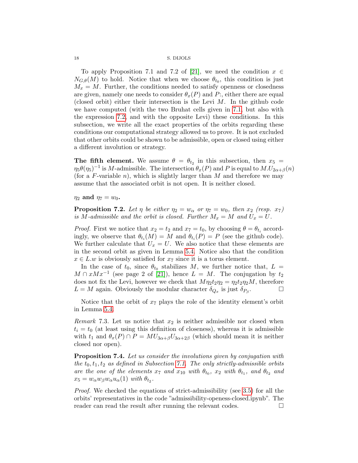To apply Proposition 7.1 and 7.2 of [\[21\]](#page-28-4), we need the condition  $x \in$  $N_{G,\theta}(M)$  to hold. Notice that when we choose  $\theta_{t_0}$ , this condition is just  $M_x = M$ . Further, the conditions needed to satisfy openness or closedness are given, namely one needs to consider  $\theta_x(P)$  and P:, either there are equal (closed orbit) either their intersection is the Levi  $M$ . In the github code we have computed (with the two Bruhat cells given in [7.1,](#page-18-2) but also with the expression [7.2,](#page-18-0) and with the opposite Levi) these conditions. In this subsection, we write all the exact properties of the orbits regarding these conditions our computational strategy allowed us to prove. It is not excluded that other orbits could be shown to be admissible, open or closed using either a different involution or strategy.

The fifth element. We assume  $\theta = \theta_{t_2}$  in this subsection, then  $x_5 =$  $\eta_5 \theta(\eta_5)^{-1}$  is M-admissible. The intersection  $\theta_x(P)$  and P is equal to  $M.U_{2\alpha+\beta}(n)$ (for a F-variable n), which is slightly larger than  $M$  and therefore we may assume that the associated orbit is not open. It is neither closed.

 $\eta_2$  and  $\eta_7 = w_0$ .

<span id="page-19-0"></span>**Proposition 7.2.** Let  $\eta$  be either  $\eta_2 = w_\alpha$  or  $\eta_7 = w_0$ , then  $x_2$  (resp.  $x_7$ ) is M-admissible and the orbit is closed. Further  $M_x = M$  and  $U_x = U$ .

*Proof.* First we notice that  $x_2 = t_2$  and  $x_7 = t_0$ , by choosing  $\theta = \theta_{t_i}$  accordingly, we observe that  $\theta_{t_i}(M) = M$  and  $\theta_{t_i}(P) = P$  (see the github code). We further calculate that  $U_x = U$ . We also notice that these elements are in the second orbit as given in Lemma [5.4.](#page-11-0) Notice also that the condition  $x \in L.w$  is obviously satisfied for  $x_7$  since it is a torus element.

In the case of  $t_0$ , since  $\theta_{t_0}$  stabilizes M, we further notice that,  $L =$  $M \cap xMx^{-1}$  (see page 2 of [\[21\]](#page-28-4)), hence  $L = M$ . The conjugation by  $t_2$ does not fix the Levi, however we check that  $M\eta_2 t_2 \eta_2 = \eta_2 t_2 \eta_2 M$ , therefore  $L = M$  again. Obviously the modular character  $\delta_{Q_x}$  is just  $\delta_{P_\beta}$ . — П

Notice that the orbit of  $x_7$  plays the role of the identity element's orbit in Lemma [5.4.](#page-11-0)

*Remark* 7.3. Let us notice that  $x_2$  is neither admissible nor closed when  $t_i = t_0$  (at least using this definition of closeness), whereas it is admissible with  $t_1$  and  $\theta_x(P) \cap P = MU_{3\alpha+\beta}U_{3\alpha+2\beta}$  (which should mean it is neither closed nor open).

**Proposition 7.4.** Let us consider the involutions given by conjugation with the  $t_0, t_1, t_2$  as defined in Subsection [7.1.](#page-16-3) The only strictly-admissible orbits are the one of the elements  $x_7$  and  $x_{10}$  with  $\theta_{t_0}$ ,  $x_2$  with  $\theta_{t_1}$ , and  $\theta_{t_2}$  and  $x_5 = w_\alpha w_\beta w_\alpha u_\alpha(1)$  with  $\theta_{t_2}$ .

Proof. We checked the equations of strict-admissibility (see [3.5\)](#page-8-1) for all the orbits' representatives in the code "admissibility-openess-closed.ipynb". The reader can read the result after running the relevant codes.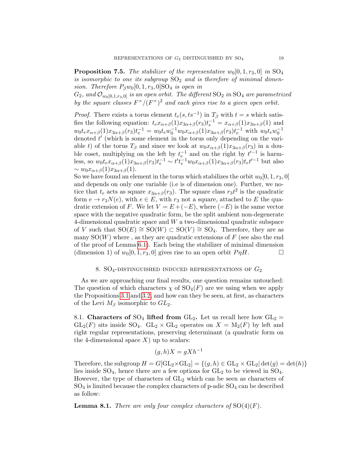<span id="page-20-1"></span>**Proposition 7.5.** The stabilizer of the representative  $w_0[0, 1, r_3, 0]$  in  $SO_4$ is isomorphic to one its subgroup  $SO_2$  and is therefore of minimal dimension. Therefore  $P_\beta w_0[0, 1, r_3, 0]$ SO<sub>4</sub> is open in

 $G_2$ , and  $\mathcal{O}_{w_0[0,1,r_3,0]}$  is an open orbit. The different  $SO_2$  in  $SO_4$  are parametrized by the square classes  $F^{\times}/(F^{\times})^2$  and each gives rise to a given open orbit.

*Proof.* There exists a torus element  $t_e(s, ts^{-1})$  in  $T_\beta$  with  $t = s$  which satisfies the following equation:  $t_e x_{\alpha+\beta}(1)x_{3\alpha+\beta}(r_3)t_e^{-1} = x_{\alpha+\beta}(1)x_{3\alpha+\beta}(1)$  and  $w_0 t_e x_{\alpha+\beta}(1) x_{3\alpha+\beta}(r_3) t_e^{-1} = w_0 t_e w_0^{-1} w_0 x_{\alpha+\beta}(1) x_{3\alpha+\beta}(r_3) t_e^{-1}$  with  $w_0 t_e w_0^{-1}$ denoted  $t'$  (which is some element in the torus only depending on the variable t) of the torus  $T_\beta$  and since we look at  $w_0x_{\alpha+\beta}(1)x_{3\alpha+\beta}(r_3)$  in a double coset, multiplying on the left by  $t_e^{-1}$  and on the right by  $t'^{-1}$  is harmless, so  $w_0t_e x_{\alpha+\beta}(1)x_{3\alpha+\beta}(r_3)t_e^{-1} \sim t't_e^{-1}w_0x_{\alpha+\beta}(1)x_{3\alpha+\beta}(r_3)t_e t'^{-1}$  but also  $\sim w_0x_{\alpha+\beta}(1)x_{3\alpha+\beta}(1).$ 

So we have found an element in the torus which stabilizes the orbit  $w_0[0, 1, r_3, 0]$ and depends on only one variable (i.e is of dimension one). Further, we notice that  $t_e$  acts as square  $x_{3\alpha+\beta}(r_3)$ . The square class  $r_3t^2$  is the quadratic form  $e \to r_3N(e)$ , with  $e \in E$ , with  $r_3$  not a square, attached to E the quadratic extension of F. We let  $V = E + (-E)$ , where  $(-E)$  is the same vector space with the negative quadratic form, be the split ambient non-degenerate 4-dimensional quadratic space and W a two-dimensional quadratic subspace of V such that  $SO(E) \cong SO(W) \subset SO(V) \cong SO_4$ . Therefore, they are as many  $SO(W)$  where, as they are quadratic extensions of F (see also the end of the proof of Lemma [6.1\)](#page-13-1). Each being the stabilizer of minimal dimension (dimension 1) of  $w_0[0, 1, r_3, 0]$  gives rise to an open orbit  $P \eta H$ .

### 8.  $SO_4$ -distinguished induced representations of  $G_2$

<span id="page-20-0"></span>As we are approaching our final results, one question remains untouched: The question of which characters  $\chi$  of  $SO_4(F)$  are we using when we apply the Propositions [3.1](#page-7-0) and [3.2,](#page-7-1) and how can they be seen, at first, as characters of the Levi  $M_\beta$  isomorphic to  $GL_2$ .

8.1. Characters of  $SO_4$  lifted from  $GL_2$ . Let us recall here how  $GL_2 =$  $GL_2(F)$  sits inside SO<sub>4</sub>.  $GL_2 \times GL_2$  operates on  $X = M_2(F)$  by left and right regular representations, preserving determinant (a quadratic form on the 4-dimensional space  $X$ ) up to scalars:

$$
(g, h)X = gXh^{-1}
$$

Therefore, the subgroup  $H = G[\mathrm{GL}_2 \times \mathrm{GL}_2] = \{(g,h) \in \mathrm{GL}_2 \times \mathrm{GL}_2 | \det(g) = \det(h)\}$ lies inside  $SO_4$ , hence there are a few options for  $GL_2$  to be viewed in  $SO_4$ . However, the type of characters of  $GL_2$  which can be seen as characters of  $SO_4$  is limited because the complex characters of p-adic  $SO_4$  can be described as follow:

**Lemma 8.1.** There are only four complex characters of  $SO(4)(F)$ .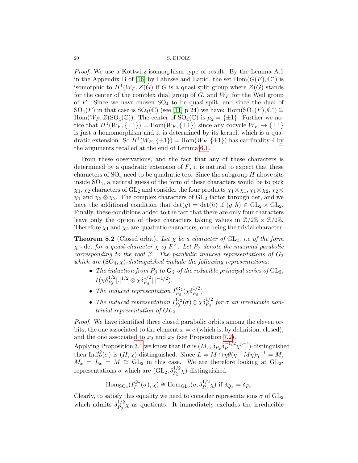Proof. We use a Kottwitz-isomorphism type of result. By the Lemma A.1 in the Appendix B of [\[16\]](#page-28-18) by Labesse and Lapid, the set  $Hom(G(F), \mathbb{C}^*)$  is isomorphic to  $H^1(W_F, Z(\hat{G})$  if G is a quasi-split group where  $Z(\hat{G})$  stands for the center of the complex dual group of  $G$ , and  $W_F$  for the Weil group of F. Since we have chosen  $SO_4$  to be quasi-split, and since the dual of  $SO_4(F)$  in that case is  $SO_4(\mathbb{C})$  (see [\[11\]](#page-28-19) p 24) we have:  $Hom(SO_4(F), \mathbb{C}^*) \cong$ Hom $(W_F, Z(SO_4(\mathbb{C}))$ . The center of  $SO_4(\mathbb{C})$  is  $\mu_2 = {\pm 1}$ . Further we notice that  $H^1(W_F, \{\pm 1\}) = \text{Hom}(W_F, \{\pm 1\})$  since any cocycle  $W_F \to \{\pm 1\}$ is just a homomorphism and it is determined by its kernel, which is a quadratic extension. So  $H^1(W_F, \{\pm 1\}) = \text{Hom}(W_F, \{\pm 1\})$  has cardinality 4 by the arguments recalled at the end of Lemma [6.1.](#page-13-1)

From these observations, and the fact that any of these characters is determined by a quadratic extension of  $F$ , it is natural to expect that these characters of  $SO_4$  need to be quadratic too. Since the subgroup H above sits inside SO4, a natural guess of the form of these characters would be to pick  $\chi_1, \chi_2$  characters of GL<sub>2</sub> and consider the four products  $\chi_1 \otimes \chi_1, \chi_1 \otimes \chi_2, \chi_2 \otimes$  $\chi_1$  and  $\chi_2 \otimes \chi_2$ . The complex characters of GL<sub>2</sub> factor through det, and we have the additional condition that  $\det(g) = \det(h)$  if  $(g, h) \in GL_2 \times GL_2$ . Finally, these conditions added to the fact that there are only four characters leave only the option of these characters taking values in  $\mathbb{Z}/2\mathbb{Z} \times \mathbb{Z}/2\mathbb{Z}$ . Therefore  $\chi_1$  and  $\chi_2$  are quadratic characters, one being the trivial character.

<span id="page-21-0"></span>**Theorem 8.2** (Closed orbit). Let  $\chi$  be a character of  $GL_2$ , i.e of the form  $\chi \circ \det$  for a quasi-character  $\chi$  of  $F^\times$ . Let  $P_\beta$  denote the maximal parabolic corresponding to the root  $\beta$ . The parabolic induced representations of  $G_2$ which are  $(SO_4, \chi)$ -distinguished include the following representations:

- The induction from  $P_\beta$  to  $G_2$  of the reducible principal series of  $GL_2$ ,  $I(\chi\delta_{P_{\beta}}^{1/2}|.|^{1/2}\otimes\chi\delta_{P_{\beta}}^{1/2}|.|^{-1/2}).$
- The induced representation  $I_{P_2}^{\mathbf{G}_2}$  $\frac{\mathbf{G}_2}{P_\beta}(\chi\delta_{P_\beta}^{1/2}).$
- The induced representation  $I_{P_c}^{\mathbf{G}_2}$  $\frac{\mathbf{G}_2}{P_\beta}(\sigma) \otimes \chi \delta_{P_\beta}^{1/2}$  for  $\sigma$  an irreducible nontrivial representation of  $GL<sub>2</sub>$

Proof. We have identified three closed parabolic orbits among the eleven orbits, the one associated to the element  $x = e$  (which is, by definition, closed), and the one associated to  $x_2$  and  $x_7$  (see Proposition [7.2\)](#page-19-0).

Applying Proposition [3.1](#page-7-0) we know that if  $\sigma$  is  $(M_x, \delta_{P_x} \delta_P^{-1/2})$  $\frac{-1}{2} \chi^{\eta^{-1}}$  –distinguished then  $\text{Ind}_{P}^{G}(\sigma)$  is  $(H, \chi)$ -distinguished. Since  $L = M \cap \eta \theta(\eta^{-1} M \eta) \eta^{-1} = M$ ,  $M_x = L_x = M \approx GL_2$  in this case. We are therefore looking at GL<sub>2</sub>representations  $\sigma$  which are  $(GL_2, \delta_{P_\beta}^{1/2}\chi)$ -distinguished.

Hom<sub>SO<sub>4</sub></sub>
$$
(I_P^{G_2}(\sigma), \chi) \cong \text{Hom}_{\text{GL}_2}(\sigma, \delta_{P_\beta}^{1/2} \chi)
$$
 if  $\delta_{Q_x} = \delta_{P_\beta}$ 

Clearly, to satisfy this equality we need to consider representations  $\sigma$  of  $GL_2$ which admits  $\delta_{P_0}^{1/2}$  $P_{\beta}^{1/2} \chi$  as quotients. It immediately excludes the irreducible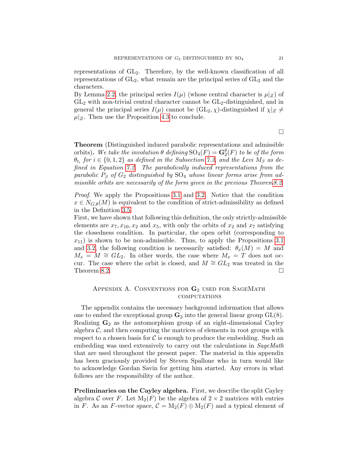representations of GL2. Therefore, by the well-known classification of all representations of  $GL_2$ , what remain are the principal series of  $GL_2$  and the characters.

By Lemma [2.2,](#page-6-1) the principal series  $I(\mu)$  (whose central character is  $\mu|_Z$ ) of  $GL<sub>2</sub>$  with non-trivial central character cannot be  $GL<sub>2</sub>$ -distinguished, and in general the principal series  $I(\mu)$  cannot be  $(GL_2, \chi)$ -distinguished if  $\chi|_Z \neq$  $\mu|_Z$ . Then use the Proposition [4.3](#page-9-0) to conclude.

Theorem (Distinguished induced parabolic representations and admissible orbits). We take the involution  $\theta$  defining  $SO_4(F) = \mathbf{G}_2^{\theta}(F)$  to be of the form  $\theta_{t_i}$  for  $i \in \{0,1,2\}$  as defined in the Subsection [7.3,](#page-17-0) and the Levi  $M_\beta$  as defined in Equation [7.2.](#page-18-0) The parabolically induced representations from the parabolic  $P_\beta$  of  $G_2$  distinguished by  $SO_4$  whose linear forms arise from admissible orbits are necessarily of the form given in the previous Theore[m8.2.](#page-21-0)

Proof. We apply the Propositions [3.1](#page-7-0) and [3.2.](#page-7-1) Notice that the condition  $x \in N_{G,\theta}(M)$  is equivalent to the condition of strict-admissibility as defined in the Definition [3.5.](#page-8-1)

First, we have shown that following this definition, the only strictly-admissible elements are  $x_7, x_{10}, x_2$  and  $x_5$ , with only the orbits of  $x_2$  and  $x_7$  satisfying the closedness condition. In particular, the open orbit (corresponding to  $x_{11}$ ) is shown to be non-admissible. Thus, to apply the Propositions [3.1](#page-7-0) and [3.2,](#page-7-1) the following condition is necessarily satisfied:  $\theta_x(M) = M$  and  $M_x = M \cong GL_2$ . In other words, the case where  $M_x = T$  does not occur. The case where the orbit is closed, and  $M \cong GL_2$  was treated in the Theorem [8.2.](#page-21-0)  $\Box$ 

### <span id="page-22-0"></span>APPENDIX A. CONVENTIONS FOR  $G_2$  used for SageMath **COMPUTATIONS**

The appendix contains the necessary background information that allows one to embed the exceptional group  $\mathbf{G}_2$  into the general linear group  $GL(8)$ . Realizing  $G_2$  as the automorphism group of an eight-dimensional Cayley algebra  $\mathcal{C}$ , and then computing the matrices of elements in root groups with respect to a chosen basis for  $\mathcal C$  is enough to produce the embedding. Such an embedding was used extensively to carry out the calculations in SageMath that are used throughout the present paper. The material in this appendix has been graciously provided by Steven Spallone who in turn would like to acknowledge Gordan Savin for getting him started. Any errors in what follows are the responsibility of the author.

Preliminaries on the Cayley algebra. First, we describe the split Cayley algebra C over F. Let  $M_2(F)$  be the algebra of  $2 \times 2$  matrices with entries in F. As an F-vector space,  $C = M_2(F) \oplus M_2(F)$  and a typical element of

 $\Box$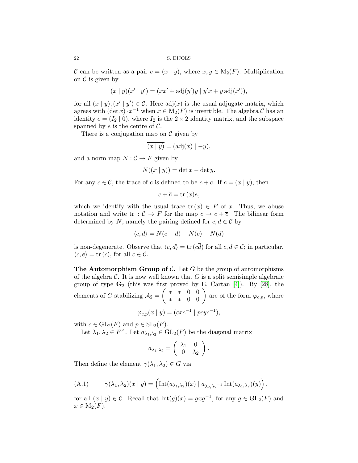C can be written as a pair  $c = (x \mid y)$ , where  $x, y \in M_2(F)$ . Multiplication on  $\mathcal C$  is given by

$$
(x | y)(x' | y') = (xx' + adj(y')y | y'x + y adj(x')),
$$

for all  $(x | y)$ ,  $(x' | y') \in C$ . Here adj $(x)$  is the usual adjugate matrix, which agrees with  $(\det x) \cdot x^{-1}$  when  $x \in M_2(F)$  is invertible. The algebra C has an identity  $e = (I_2 \mid 0)$ , where  $I_2$  is the  $2 \times 2$  identity matrix, and the subspace spanned by  $e$  is the centre of  $\mathcal{C}$ .

There is a conjugation map on  $\mathcal C$  given by

$$
\overline{(x \mid y)} = (\text{adj}(x) \mid -y),
$$

and a norm map  $N: \mathcal{C} \to F$  given by

$$
N((x \mid y)) = \det x - \det y.
$$

For any  $c \in \mathcal{C}$ , the trace of c is defined to be  $c + \overline{c}$ . If  $c = (x \mid y)$ , then

$$
c + \overline{c} = \operatorname{tr}(x)e,
$$

which we identify with the usual trace  $tr(x) \in F$  of x. Thus, we abuse notation and write tr :  $C \rightarrow F$  for the map  $c \mapsto c + \overline{c}$ . The bilinear form determined by N, namely the pairing defined for  $c, d \in \mathcal{C}$  by

$$
\langle c, d \rangle = N(c + d) - N(c) - N(d)
$$

is non-degenerate. Observe that  $\langle c, d \rangle = \text{tr} (c\overline{d})$  for all  $c, d \in \mathcal{C}$ ; in particular,  $\langle c, e \rangle = \text{tr}(c)$ , for all  $c \in \mathcal{C}$ .

The Automorphism Group of  $\mathcal{C}$ . Let G be the group of automorphisms of the algebra  $\mathcal C$ . It is now well known that  $G$  is a split semisimple algebraic group of type  $\mathbf{G}_2$  (this was first proved by E. Cartan [\[4\]](#page-28-20)). By [\[28\]](#page-29-4), the elements of G stabilizing  $A_2 = \begin{pmatrix} * & * & 0 & 0 \\ * & * & 0 & 0 \end{pmatrix}$  are of the form  $\varphi_{c,p}$ , where

$$
\varphi_{c,p}(x \mid y) = (cxc^{-1} \mid pcyc^{-1}),
$$

with  $c \in GL_2(F)$  and  $p \in SL_2(F)$ .

Let  $\lambda_1, \lambda_2 \in F^{\times}$ . Let  $a_{\lambda_1, \lambda_2} \in GL_2(F)$  be the diagonal matrix

$$
a_{\lambda_1,\lambda_2} = \left(\begin{array}{cc} \lambda_1 & 0 \\ 0 & \lambda_2 \end{array}\right).
$$

Then define the element  $\gamma(\lambda_1, \lambda_2) \in G$  via

(A.1) 
$$
\gamma(\lambda_1, \lambda_2)(x \mid y) = \left( \mathrm{Int}(a_{\lambda_1, \lambda_2})(x) \mid a_{\lambda_2, \lambda_2^{-1}} \mathrm{Int}(a_{\lambda_1, \lambda_2})(y) \right),
$$

for all  $(x | y) \in C$ . Recall that  $Int(g)(x) = gxg^{-1}$ , for any  $g \in GL_2(F)$  and  $x \in M_2(F)$ .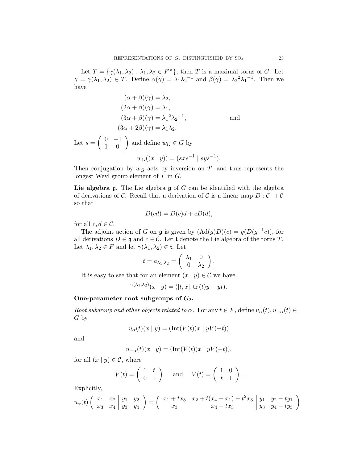Let  $T = \{ \gamma(\lambda_1, \lambda_2) : \lambda_1, \lambda_2 \in F^\times \}$ ; then T is a maximal torus of G. Let  $\gamma = \gamma(\lambda_1, \lambda_2) \in T$ . Define  $\alpha(\gamma) = \lambda_1 \lambda_2^{-1}$  and  $\beta(\gamma) = \lambda_2^{-2} \lambda_1^{-1}$ . Then we have

$$
(\alpha + \beta)(\gamma) = \lambda_2,
$$
  
\n
$$
(2\alpha + \beta)(\gamma) = \lambda_1,
$$
  
\n
$$
(3\alpha + \beta)(\gamma) = \lambda_1^2 \lambda_2^{-1},
$$
 and  
\n
$$
(3\alpha + 2\beta)(\gamma) = \lambda_1 \lambda_2.
$$
  
\nLet  $s = \begin{pmatrix} 0 & -1 \\ 1 & 0 \end{pmatrix}$  and define  $w_G \in G$  by

$$
w_G((x \mid y)) = (sxs^{-1} \mid sys^{-1}).
$$

Then conjugation by  $w_G$  acts by inversion on T, and thus represents the longest Weyl group element of  $T$  in  $G$ .

Lie algebra g. The Lie algebra g of  $G$  can be identified with the algebra of derivations of C. Recall that a derivation of C is a linear map  $D: \mathcal{C} \to \mathcal{C}$ so that

$$
D(cd) = D(c)d + cD(d),
$$

for all  $c, d \in \mathcal{C}$ .

The adjoint action of G on g is given by  $(Ad(g)D)(c) = g(D(g^{-1}c))$ , for all derivations  $D \in \mathfrak{g}$  and  $c \in \mathcal{C}$ . Let t denote the Lie algebra of the torus T. Let  $\lambda_1, \lambda_2 \in F$  and let  $\gamma(\lambda_1, \lambda_2) \in \mathfrak{t}$ . Let

$$
t = a_{\lambda_1, \lambda_2} = \begin{pmatrix} \lambda_1 & 0 \\ 0 & \lambda_2 \end{pmatrix}.
$$

It is easy to see that for an element  $(x | y) \in \mathcal{C}$  we have

$$
\gamma(\lambda_1, \lambda_2)(x \mid y) = ([t, x], \text{tr}(t)y - yt).
$$

### One-parameter root subgroups of  $G_2$ .

Root subgroup and other objects related to  $\alpha$ . For any  $t \in F$ , define  $u_{\alpha}(t), u_{-\alpha}(t) \in$ G by

$$
u_{\alpha}(t)(x \mid y) = (\text{Int}(V(t))x \mid yV(-t))
$$

and

$$
u_{-\alpha}(t)(x \mid y) = (\text{Int}(\overline{V}(t))x \mid y\overline{V}(-t)),
$$

for all  $(x | y) \in \mathcal{C}$ , where

$$
V(t) = \begin{pmatrix} 1 & t \\ 0 & 1 \end{pmatrix} \quad \text{and} \quad \overline{V}(t) = \begin{pmatrix} 1 & 0 \\ t & 1 \end{pmatrix}.
$$

Explicitly,

$$
u_{\alpha}(t) \left( \begin{array}{cc|cc} x_1 & x_2 & y_1 & y_2 \\ x_3 & x_4 & y_3 & y_4 \end{array} \right) = \left( \begin{array}{cc|cc} x_1 + tx_3 & x_2 + t(x_4 - x_1) - t^2 x_3 & y_1 & y_2 - ty_1 \\ x_3 & x_4 - tx_3 & y_3 & y_4 - ty_3 \end{array} \right)
$$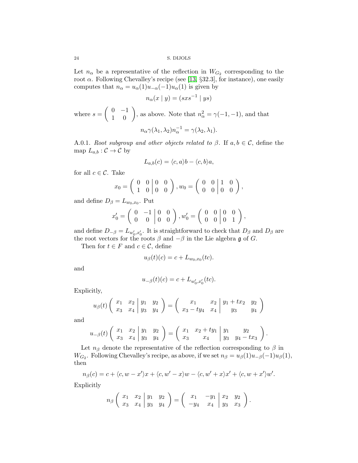Let  $n_{\alpha}$  be a representative of the reflection in  $W_{G_2}$  corresponding to the root  $\alpha$ . Following Chevalley's recipe (see [\[13,](#page-28-21) §32.3], for instance), one easily computes that  $n_{\alpha} = u_{\alpha}(1)u_{-\alpha}(-1)u_{\alpha}(1)$  is given by

$$
n_{\alpha}(x \mid y) = (sxs^{-1} \mid ys)
$$

where  $s = \begin{pmatrix} 0 & -1 \\ 1 & 0 \end{pmatrix}$ , as above. Note that  $n_{\alpha}^2 = \gamma(-1, -1)$ , and that

$$
n_{\alpha}\gamma(\lambda_1,\lambda_2)n_{\alpha}^{-1}=\gamma(\lambda_2,\lambda_1).
$$

A.0.1. Root subgroup and other objects related to  $\beta$ . If  $a, b \in \mathcal{C}$ , define the map  $L_{a,b} : \mathcal{C} \to \mathcal{C}$  by

$$
L_{a,b}(c) = \langle c, a \rangle b - \langle c, b \rangle a,
$$

for all  $c \in \mathcal{C}$ . Take

$$
x_0 = \begin{pmatrix} 0 & 0 & 0 & 0 \\ 1 & 0 & 0 & 0 \end{pmatrix}, w_0 = \begin{pmatrix} 0 & 0 & 1 & 0 \\ 0 & 0 & 0 & 0 \end{pmatrix},
$$

and define  $D_{\beta} = L_{w_0,x_0}$ . Put

$$
x'_0 = \begin{pmatrix} 0 & -1 & 0 & 0 \\ 0 & 0 & 0 & 0 \end{pmatrix}, w'_0 = \begin{pmatrix} 0 & 0 & 0 & 0 \\ 0 & 0 & 0 & 1 \end{pmatrix},
$$

and define  $D_{-\beta} = L_{w'_0, x'_0}$ . It is straightforward to check that  $D_{\beta}$  and  $D_{\beta}$  are the root vectors for the roots  $\beta$  and  $-\beta$  in the Lie algebra g of G.

Then for  $t \in F$  and  $c \in \mathcal{C}$ , define

$$
u_{\beta}(t)(c) = c + L_{w_0,x_0}(tc).
$$

and

$$
u_{-\beta}(t)(c) = c + L_{w'_0, x'_0}(tc).
$$

Explicitly,

$$
u_{\beta}(t) \left( \begin{array}{cc|cc} x_1 & x_2 & y_1 & y_2 \\ x_3 & x_4 & y_3 & y_4 \end{array} \right) = \left( \begin{array}{cc|cc} x_1 & x_2 & y_1 + tx_2 & y_2 \\ x_3 - ty_4 & x_4 & y_3 & y_4 \end{array} \right)
$$

and

$$
u_{-\beta}(t) \left( \begin{array}{cc|cc} x_1 & x_2 & y_1 & y_2 \\ x_3 & x_4 & y_3 & y_4 \end{array} \right) = \left( \begin{array}{cc|cc} x_1 & x_2 + ty_1 & y_1 & y_2 \\ x_3 & x_4 & y_3 & y_4 - tx_3 \end{array} \right).
$$

Let  $n_\beta$  denote the representative of the reflection corresponding to  $\beta$  in  $W_{G_2}$ . Following Chevalley's recipe, as above, if we set  $n_\beta = u_\beta(1)u_{-\beta}(-1)u_\beta(1)$ , then

$$
n_{\beta}(c) = c + \langle c, w - x' \rangle x + \langle c, w' - x \rangle w - \langle c, w' + x \rangle x' + \langle c, w + x' \rangle w'.
$$

Explicitly

$$
n_{\beta}\left(\begin{array}{cc|cc} x_1 & x_2 & y_1 & y_2 \\ x_3 & x_4 & y_3 & y_4 \end{array}\right) = \left(\begin{array}{cc|cc} x_1 & -y_1 & x_2 & y_2 \\ -y_4 & x_4 & y_3 & x_3 \end{array}\right).
$$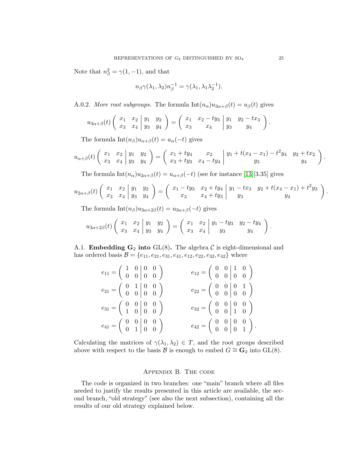Note that  $n_{\beta}^2 = \gamma(1, -1)$ , and that

$$
n_{\beta}\gamma(\lambda_1,\lambda_2)n_{\beta}^{-1}=\gamma(\lambda_1,\lambda_1\lambda_2^{-1}).
$$

A.0.2. More root subgroups. The formula  $\text{Int}(n_{\alpha})u_{3\alpha+\beta}(t) = u_{\beta}(t)$  gives

$$
u_{3\alpha+\beta}(t) \left( \begin{array}{cc|cc} x_1 & x_2 & y_1 & y_2 \\ x_3 & x_4 & y_3 & y_4 \end{array} \right) = \left( \begin{array}{cc|cc} x_1 & x_2 - ty_3 & y_1 & y_2 - tx_3 \\ x_3 & x_4 & y_3 & y_4 \end{array} \right).
$$

The formula  $\text{Int}(n_{\beta})u_{\alpha+\beta}(t) = u_{\alpha}(-t)$  gives

$$
u_{\alpha+\beta}(t) \left( \begin{array}{cc} x_1 & x_2 \\ x_3 & x_4 \end{array} \middle| \begin{array}{cc} y_1 & y_2 \\ y_3 & y_4 \end{array} \right) = \left( \begin{array}{cc} x_1 + ty_4 & x_2 \\ x_3 + ty_3 & x_4 - ty_4 \end{array} \middle| \begin{array}{cc} y_1 + t(x_4 - x_1) - t^2 y_4 & y_2 + tx_2 \\ y_3 & y_4 \end{array} \right).
$$

The formula  $Int(n_{\alpha})u_{2\alpha+\beta}(t) = u_{\alpha+\beta}(-t)$  (see for instance [\[13\]](#page-28-21)[3.35] gives

$$
u_{2\alpha+\beta}(t)\left(\begin{array}{cc} x_1 & x_2 \\ x_3 & x_4 \end{array}\bigg|\begin{array}{cc} y_1 & y_2 \\ y_3 & y_4 \end{array}\right)=\left(\begin{array}{cc} x_1-ty_3 & x_2+ty_4 \\ x_3 & x_4+ty_3 \end{array}\bigg|\begin{array}{cc} y_1-tx_3 & y_2+t(x_4-x_1)+t^2y_3 \\ y_3 & y_4 \end{array}\right).
$$

The formula  $Int(n_\beta)u_{3\alpha+2\beta}(t) = u_{3\alpha+\beta}(-t)$  gives

$$
u_{3\alpha+2\beta}(t) \left( \begin{array}{cc} x_1 & x_2 \\ x_3 & x_4 \end{array} \middle| \begin{array}{cc} y_1 & y_2 \\ y_3 & y_4 \end{array} \right) = \left( \begin{array}{cc} x_1 & x_2 \\ x_3 & x_4 \end{array} \middle| \begin{array}{cc} y_1 - ty_3 & y_2 - ty_4 \\ y_3 & y_4 \end{array} \right).
$$

A.1. **Embedding G<sub>2</sub>** into GL(8). The algebra C is eight-dimensional and has ordered basis  $\mathcal{B} = \{e_{11}, e_{21}, e_{31}, e_{41}, e_{12}, e_{22}, e_{32}, e_{42}\}\$  where

| $e_{11} = \left( \begin{array}{rrr} 1 & 0 & 0 & 0 \\ 0 & 0 & 0 & 0 \end{array} \right)$ | $e_{12} = \left( \begin{array}{cc} 0 & 0 & 1 & 0 \\ 0 & 0 & 0 & 0 \end{array} \right)$ |
|-----------------------------------------------------------------------------------------|----------------------------------------------------------------------------------------|
| $e_{21} = \left( \begin{array}{cc} 0 & 1 & 0 & 0 \\ 0 & 0 & 0 & 0 \end{array} \right)$  | $e_{22} = \left( \begin{array}{cc} 0 & 0 & 0 & 1 \\ 0 & 0 & 0 & 0 \end{array} \right)$ |
| $e_{31} = \left( \begin{array}{rrr} 0 & 0 & 0 & 0 \\ 1 & 0 & 0 & 0 \end{array} \right)$ | $e_{32}=\left(\begin{array}{cc cc} 0 & 0 & 0 & 0 \\ 0 & 0 & 1 & 0 \end{array}\right)$  |
| $e_{41}=\left(\begin{array}{cc cc} 0 & 0 & 0 & 0 \\ 0 & 1 & 0 & 0 \end{array}\right)$   | $e_{42} = \left(\begin{array}{cc} 0 & 0 & 0 & 0 \\ 0 & 0 & 0 & 1 \end{array}\right).$  |

Calculating the matrices of  $\gamma(\lambda_1, \lambda_2) \in T$ , and the root groups described above with respect to the basis B is enough to embed  $G \cong \mathbf{G}_2$  into GL(8).

### Appendix B. The code

<span id="page-26-0"></span>The code is organized in two branches: one "main" branch where all files needed to justify the results presented in this article are available, the second branch, "old strategy" (see also the next subsection), containing all the results of our old strategy explained below.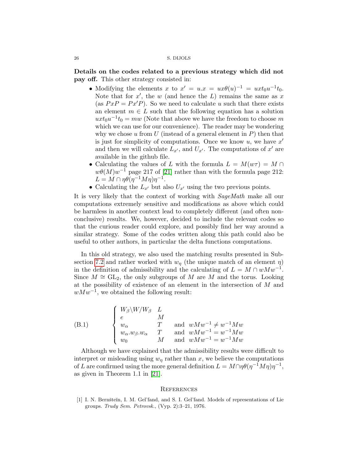Details on the codes related to a previous strategy which did not pay off. This other strategy consisted in:

- Modifying the elements x to  $x' = u \cdot x = ux\theta(u)^{-1} = uxt_0u^{-1}t_0$ . Note that for  $x'$ , the w (and hence the L) remains the same as x (as  $PxP = Px'P$ ). So we need to calculate u such that there exists an element  $m \in L$  such that the following equation has a solution  $uxt_0u^{-1}t_0 = mw$  (Note that above we have the freedom to choose m which we can use for our convenience). The reader may be wondering why we chose u from U (instead of a general element in  $P$ ) then that is just for simplicity of computations. Once we know  $u$ , we have  $x'$ and then we will calculate  $L_{x'}$ , and  $U_{x'}$ . The computations of  $x'$  are available in the github file.
- Calculating the values of L with the formula  $L = M(w\tau) = M \cap$  $w\theta(M)w^{-1}$  page 217 of [\[21\]](#page-28-4) rather than with the formula page 212:  $L = M \cap \eta \theta(\eta^{-1} M \eta) \eta^{-1}.$
- Calculating the  $L_{x'}$  but also  $U_{x'}$  using the two previous points.

It is very likely that the context of working with SageMath make all our computations extremely sensitive and modifications as above which could be harmless in another context lead to completely different (and often nonconclusive) results. We, however, decided to include the relevant codes so that the curious reader could explore, and possibly find her way around a similar strategy. Some of the codes written along this path could also be useful to other authors, in particular the delta functions computations.

In this old strategy, we also used the matching results presented in Sub-section [7.2](#page-16-2) and rather worked with  $w_\eta$  (the unique match of an element  $\eta)$ in the definition of admissibility and the calculating of  $L = M \cap wMw^{-1}$ . Since  $M \cong GL_2$ , the only subgroups of M are M and the torus. Looking at the possibility of existence of an element in the intersection of M and  $wMw^{-1}$ , we obtained the following result:

(B.1) 
$$
\begin{cases} W_{\beta} \setminus W/W_{\beta} & L \\ e & M \\ w_{\alpha} & T \\ w_{\alpha} \cdot w_{\beta} \cdot w_{\alpha} & T \\ w_{0} & M \end{cases} \text{ and } wMw^{-1} \neq w^{-1}Mw \\ wMw^{-1} = w^{-1}Mw
$$

Although we have explained that the admissibility results were difficult to interpret or misleading using  $w<sub>n</sub>$  rather than x, we believe the computations of L are confirmed using the more general definition  $L = M \cap \eta \theta(\eta^{-1} M \eta) \eta^{-1}$ , as given in Theorem 1.1 in [\[21\]](#page-28-4).

### <span id="page-27-0"></span>**REFERENCES**

<span id="page-27-1"></span>[1] I. N. Bernšteĭn, I. M. Gel'fand, and S. I. Gel'fand. Models of representations of Lie groups. Trudy Sem. Petrovsk., (Vyp. 2):3–21, 1976.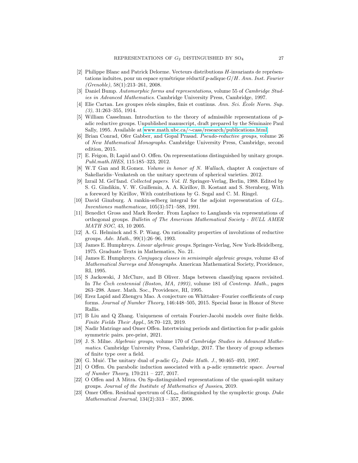- <span id="page-28-8"></span>[2] Philippe Blanc and Patrick Delorme. Vecteurs distributions  $H$ -invariants de représentations induites, pour un espace symétrique réductif p-adique  $G/H$ . Ann. Inst. Fourier  $(Grenoble)$ , 58 $(1):213-261$ , 2008.
- <span id="page-28-10"></span>[3] Daniel Bump. Automorphic forms and representations, volume 55 of Cambridge Studies in Advanced Mathematics. Cambridge University Press, Cambridge, 1997.
- <span id="page-28-20"></span>[4] Elie Cartan. Les groupes réels simples, finis et continus. Ann. Sci. École Norm. Sup.  $(3), 31:263 - 355, 1914.$
- <span id="page-28-6"></span>[5] William Casselman. Introduction to the theory of admissible representations of padic reductive groups. Unpublished manuscript, draft prepared by the Séminaire Paul Sally, 1995. Available at www.math.ubc.ca/∼[cass/research/publications.html.](https://www.math.ubc.ca/~cass/research/publications.html)
- <span id="page-28-15"></span>[6] Brian Conrad, Ofer Gabber, and Gopal Prasad. Pseudo-reductive groups, volume 26 of New Mathematical Monographs. Cambridge University Press, Cambridge, second edition, 2015.
- <span id="page-28-0"></span>[7] E. Feigon, B; Lapid and O. Offen. On representations distinguished by unitary groups. Publ.math.IHES, 115:185–323, 2012.
- <span id="page-28-3"></span>[8] W.T Gan and R.Gomez. Volume in honor of N. Wallach, chapter A conjecture of Sakellaridis–Venkatesh on the unitary spectrum of spherical varieties. 2012.
- <span id="page-28-16"></span>[9] Izrail M. Gel'fand. Collected papers. Vol. II. Springer-Verlag, Berlin, 1988. Edited by S. G. Gindikin, V. W. Guillemin, A. A. Kirillov, B. Kostant and S. Sternberg, With a foreword by Kirillov, With contributions by G. Segal and C. M. Ringel.
- <span id="page-28-5"></span>[10] David Ginzburg. A rankin-selberg integral for the adjoint representation of GL3. Inventiones mathematicae, 105(3):571–588, 1991.
- <span id="page-28-19"></span>[11] Benedict Gross and Mark Reeder. From Laplace to Langlands via representations of orthogonal groups. Bulletin of The American Mathematical Society - BULL AMER MATH SOC, 43, 10 2005.
- <span id="page-28-7"></span>[12] A. G. Helminck and S. P. Wang. On rationality properties of involutions of reductive groups. Adv. Math., 99(1):26–96, 1993.
- <span id="page-28-21"></span>[13] James E. Humphreys. Linear algebraic groups. Springer-Verlag, New York-Heidelberg, 1975. Graduate Texts in Mathematics, No. 21.
- <span id="page-28-14"></span>[14] James E. Humphreys. Conjugacy classes in semisimple algebraic groups, volume 43 of Mathematical Surveys and Monographs. American Mathematical Society, Providence, RI, 1995.
- <span id="page-28-13"></span>[15] S Jackowski, J McClure, and B Oliver. Maps between classifying spaces revisited. In The Čech centennial (Boston, MA, 1993), volume 181 of Contemp. Math., pages 263–298. Amer. Math. Soc., Providence, RI, 1995.
- <span id="page-28-18"></span>[16] Erez Lapid and Zhengyu Mao. A conjecture on Whittaker–Fourier coefficients of cusp forms. Journal of Number Theory, 146:448–505, 2015. Special Issue in Honor of Steve Rallis.
- <span id="page-28-17"></span>[17] B Liu and Q Zhang. Uniqueness of certain Fourier-Jacobi models over finite fields. Finite Fields Their Appl., 58:70–123, 2019.
- <span id="page-28-9"></span>[18] Nadir Matringe and Omer Offen. Intertwining periods and distinction for p-adic galois symmetric pairs. pre-print, 2021.
- <span id="page-28-12"></span>[19] J. S. Milne. Algebraic groups, volume 170 of Cambridge Studies in Advanced Mathematics. Cambridge University Press, Cambridge, 2017. The theory of group schemes of finite type over a field.
- <span id="page-28-11"></span>[20] G. Muić. The unitary dual of p-adic  $G_2$ . Duke Math. J., 90:465-493, 1997.
- <span id="page-28-4"></span>[21] O Offen. On parabolic induction associated with a p-adic symmetric space. Journal of Number Theory, 170:211 – 227, 2017.
- <span id="page-28-2"></span>[22] O Offen and A Mitra. On Sp-distinguished representations of the quasi-split unitary groups. Journal of the Institute of Mathematics of Jussieu, 2019.
- <span id="page-28-1"></span>[23] Omer Offen. Residual spectrum of  $GL_{2n}$  distinguished by the symplectic group. Duke Mathematical Journal, 134(2):313 – 357, 2006.